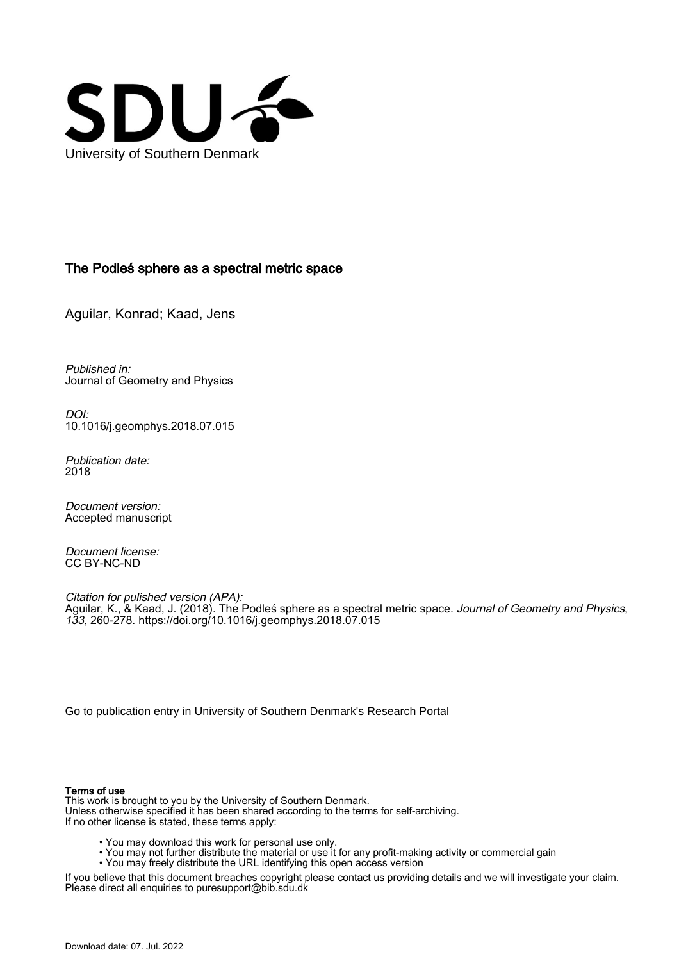

## The Podleś sphere as a spectral metric space

Aguilar, Konrad; Kaad, Jens

Published in: Journal of Geometry and Physics

DOI: [10.1016/j.geomphys.2018.07.015](https://doi.org/10.1016/j.geomphys.2018.07.015)

Publication date: 2018

Document version: Accepted manuscript

Document license: CC BY-NC-ND

Citation for pulished version (APA): Aguilar, K., & Kaad, J. (2018). The Podleś sphere as a spectral metric space. *Journal of Geometry and Physics*, 133, 260-278.<https://doi.org/10.1016/j.geomphys.2018.07.015>

[Go to publication entry in University of Southern Denmark's Research Portal](https://portal.findresearcher.sdu.dk/en/publications/c2a7bb94-6a94-4456-aced-a6c5e7e86b4b)

#### Terms of use

This work is brought to you by the University of Southern Denmark. Unless otherwise specified it has been shared according to the terms for self-archiving. If no other license is stated, these terms apply:

- You may download this work for personal use only.
- You may not further distribute the material or use it for any profit-making activity or commercial gain
- You may freely distribute the URL identifying this open access version

If you believe that this document breaches copyright please contact us providing details and we will investigate your claim. Please direct all enquiries to puresupport@bib.sdu.dk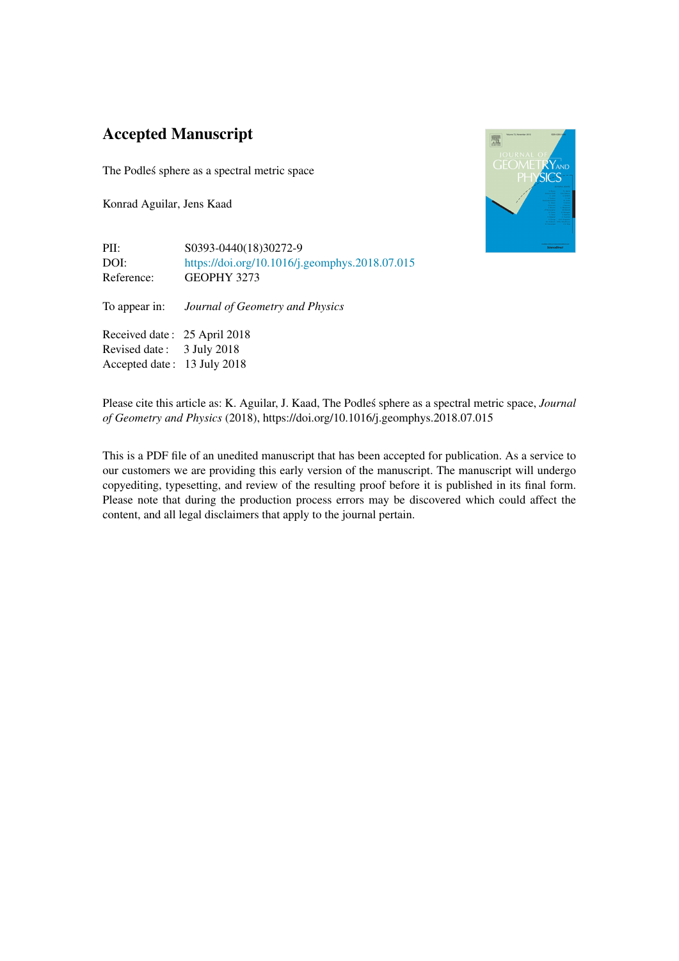# Accepted Manuscript

The Podleś sphere as a spectral metric space

Konrad Aguilar, Jens Kaad



PII: S0393-0440(18)30272-9 DOI: <https://doi.org/10.1016/j.geomphys.2018.07.015><br>Reference: GEOPHY 3273 GEOPHY 3273 To appear in: *Journal of Geometry and Physics* Received date : 25 April 2018

Revised date : 3 July 2018 Accepted date : 13 July 2018

Please cite this article as: K. Aguilar, J. Kaad, The Podles sphere as a spectral metric space, *Journal of Geometry and Physics* (2018), https://doi.org/10.1016/j.geomphys.2018.07.015

This is a PDF file of an unedited manuscript that has been accepted for publication. As a service to our customers we are providing this early version of the manuscript. The manuscript will undergo copyediting, typesetting, and review of the resulting proof before it is published in its final form. Please note that during the production process errors may be discovered which could affect the content, and all legal disclaimers that apply to the journal pertain.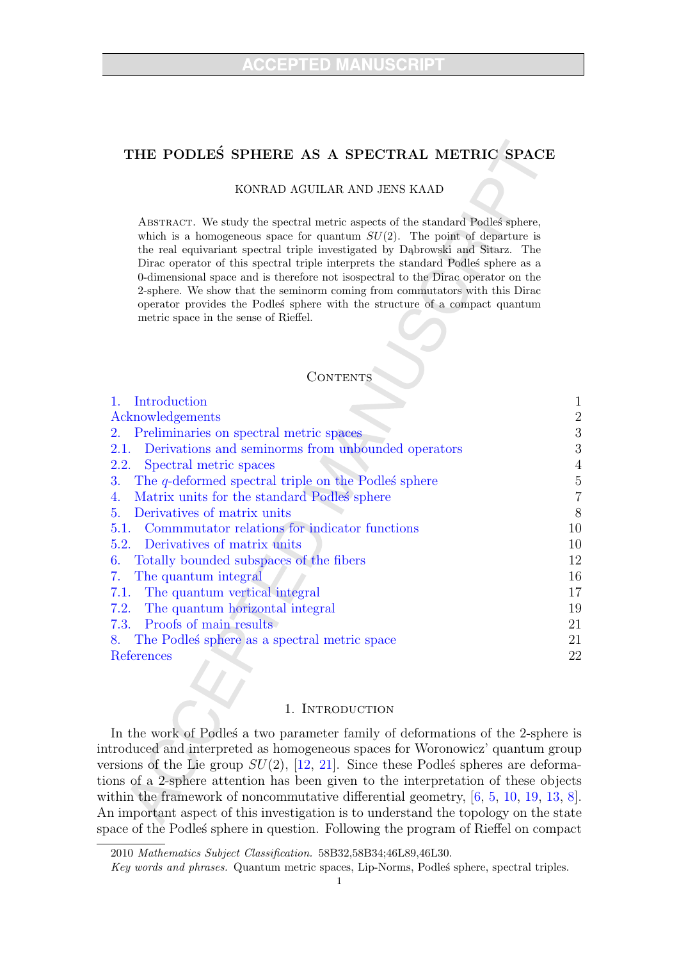KONRAD AGUILAR AND JENS KAAD

ABSTRACT. We study the spectral metric aspects of the standard Podles sphere, which is a homogeneous space for quantum  $SU(2)$ . The point of departure is the real equivariant spectral triple investigated by Da,browski and Sitarz. The Dirac operator of this spectral triple interprets the standard Podles sphere as a 0-dimensional space and is therefore not isospectral to the Dirac operator on the 2-sphere. We show that the seminorm coming from commutators with this Dirac operator provides the Podle´s sphere with the structure of a compact quantum metric space in the sense of Rieffel.

## CONTENTS

| Introduction                                               |                |
|------------------------------------------------------------|----------------|
| Acknowledgements                                           | 2              |
| 2. Preliminaries on spectral metric spaces                 | 3              |
| Derivations and seminorms from unbounded operators<br>2.1. | 3              |
| Spectral metric spaces<br>2.2.                             | $\overline{4}$ |
| The q-deformed spectral triple on the Podle's sphere<br>3. | 5              |
| Matrix units for the standard Podles sphere<br>4.          |                |
| Derivatives of matrix units<br>5.                          | 8              |
| Commmutator relations for indicator functions<br>5.1.      | 10             |
| 5.2. Derivatives of matrix units                           | 10             |
| Totally bounded subspaces of the fibers<br>6.              | 12             |
| The quantum integral<br>7.                                 | 16             |
| The quantum vertical integral<br>7.1.                      | 17             |
| The quantum horizontal integral<br>7.2.                    | 19             |
| 7.3. Proofs of main results                                | 21             |
| The Podles' sphere as a spectral metric space<br>8.        | 21             |
| References                                                 | 22             |

## 1. INTRODUCTION

In the work of Podles<sup>s</sup> a two parameter family of deformations of the 2-sphere is introduced and interpreted as homogeneous spaces for Woronowicz' quantum group versions of the Lie group  $SU(2)$ , [12, 21]. Since these Podles' spheres are deformations of a 2-sphere attention has been given to the interpretation of these objects within the framework of noncommutative differential geometry,  $[6, 5, 10, 19, 13, 8]$ . An important aspect of this investigation is to understand the topology on the state space of the Podles' sphere in question. Following the program of Rieffel on compact

<sup>2010</sup> Mathematics Subject Classification. 58B32,58B34;46L89,46L30.

Key words and phrases. Quantum metric spaces, Lip-Norms, Podles sphere, spectral triples.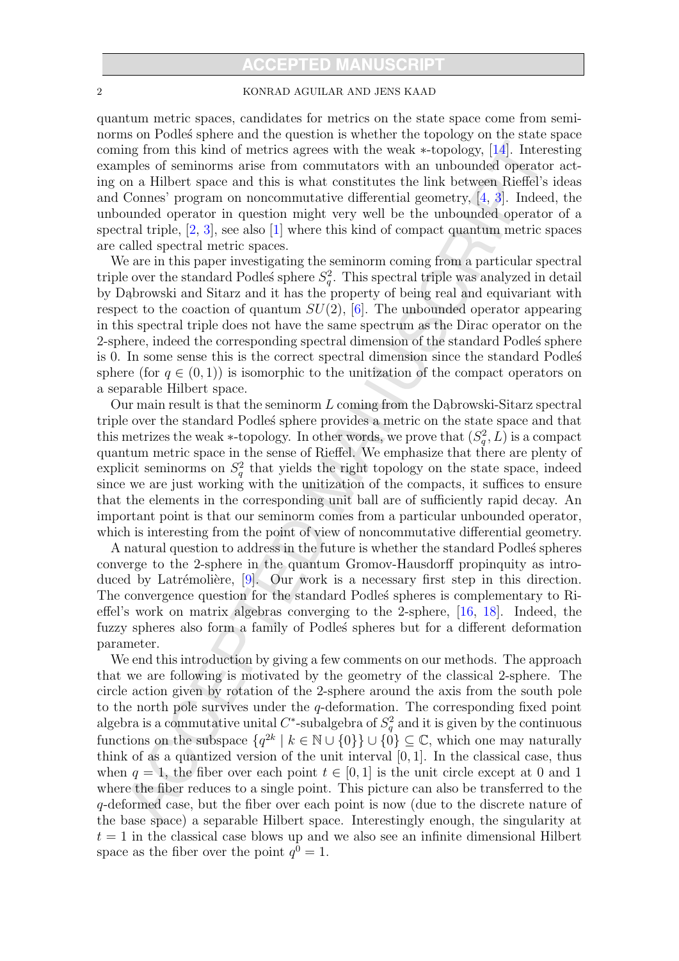## CCFPTFD MANUS

#### 2 KONRAD AGUILAR AND JENS KAAD

quantum metric spaces, candidates for metrics on the state space come from seminorms on Podle's sphere and the question is whether the topology on the state space coming from this kind of metrics agrees with the weak ∗-topology, [14]. Interesting examples of seminorms arise from commutators with an unbounded operator acting on a Hilbert space and this is what constitutes the link between Rieffel's ideas and Connes' program on noncommutative differential geometry, [4, 3]. Indeed, the unbounded operator in question might very well be the unbounded operator of a spectral triple,  $[2, 3]$ , see also  $[1]$  where this kind of compact quantum metric spaces are called spectral metric spaces.

We are in this paper investigating the seminorm coming from a particular spectral triple over the standard Podles' sphere  $S_q^2$ . This spectral triple was analyzed in detail by Dabrowski and Sitarz and it has the property of being real and equivariant with respect to the coaction of quantum  $SU(2)$ , [6]. The unbounded operator appearing in this spectral triple does not have the same spectrum as the Dirac operator on the 2-sphere, indeed the corresponding spectral dimension of the standard Podles' sphere is 0. In some sense this is the correct spectral dimension since the standard Podles sphere (for  $q \in (0, 1)$ ) is isomorphic to the unitization of the compact operators on a separable Hilbert space.

Our main result is that the seminorm  $L$  coming from the Dabrowski-Sitarz spectral triple over the standard Podles' sphere provides a metric on the state space and that this metrizes the weak \*-topology. In other words, we prove that  $(S_q^2, L)$  is a compact quantum metric space in the sense of Rieffel. We emphasize that there are plenty of explicit seminorms on  $S_q^2$  that yields the right topology on the state space, indeed since we are just working with the unitization of the compacts, it suffices to ensure that the elements in the corresponding unit ball are of sufficiently rapid decay. An important point is that our seminorm comes from a particular unbounded operator, which is interesting from the point of view of noncommutative differential geometry.

A natural question to address in the future is whether the standard Podles spheres converge to the 2-sphere in the quantum Gromov-Hausdorff propinquity as introduced by Latrémolière,  $[9]$ . Our work is a necessary first step in this direction. The convergence question for the standard Podles spheres is complementary to Rieffel's work on matrix algebras converging to the 2-sphere, [16, 18]. Indeed, the fuzzy spheres also form a family of Podles spheres but for a different deformation parameter.

We end this introduction by giving a few comments on our methods. The approach that we are following is motivated by the geometry of the classical 2-sphere. The circle action given by rotation of the 2-sphere around the axis from the south pole to the north pole survives under the q-deformation. The corresponding fixed point algebra is a commutative unital  $C^*$ -subalgebra of  $S_q^2$  and it is given by the continuous functions on the subspace  $\{q^{2k} \mid k \in \mathbb{N} \cup \{0\}\} \cup \{0\} \subseteq \mathbb{C}$ , which one may naturally think of as a quantized version of the unit interval [0, 1]. In the classical case, thus when  $q = 1$ , the fiber over each point  $t \in [0, 1]$  is the unit circle except at 0 and 1 where the fiber reduces to a single point. This picture can also be transferred to the q-deformed case, but the fiber over each point is now (due to the discrete nature of the base space) a separable Hilbert space. Interestingly enough, the singularity at  $t = 1$  in the classical case blows up and we also see an infinite dimensional Hilbert space as the fiber over the point  $q^0 = 1$ .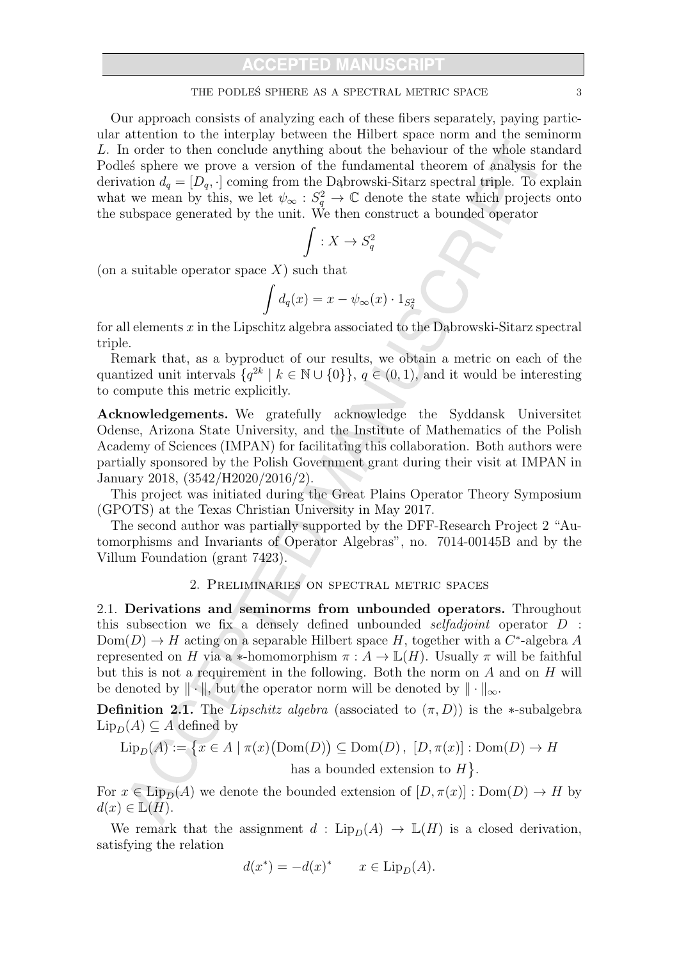## **ACCEPTED MANUSCR**

#### THE PODLES SPHERE AS A SPECTRAL METRIC SPACE 3

Our approach consists of analyzing each of these fibers separately, paying particular attention to the interplay between the Hilbert space norm and the seminorm L. In order to then conclude anything about the behaviour of the whole standard Podles' sphere we prove a version of the fundamental theorem of analysis for the derivation  $d_q = [D_q, \cdot]$  coming from the Dabrowski-Sitarz spectral triple. To explain what we mean by this, we let  $\psi_{\infty} : S_q^2 \to \mathbb{C}$  denote the state which projects onto the subspace generated by the unit. We then construct a bounded operator

$$
\int: X \to S_q^2
$$

(on a suitable operator space  $X$ ) such that

$$
\int d_q(x) = x - \psi_{\infty}(x) \cdot 1_{S_q^2}
$$

for all elements  $x$  in the Lipschitz algebra associated to the Dabrowski-Sitarz spectral triple.

Remark that, as a byproduct of our results, we obtain a metric on each of the quantized unit intervals  $\{q^{2k} \mid k \in \mathbb{N} \cup \{0\}\}, q \in (0, 1)$ , and it would be interesting to compute this metric explicitly.

Acknowledgements. We gratefully acknowledge the Syddansk Universitet Odense, Arizona State University, and the Institute of Mathematics of the Polish Academy of Sciences (IMPAN) for facilitating this collaboration. Both authors were partially sponsored by the Polish Government grant during their visit at IMPAN in January 2018, (3542/H2020/2016/2).

This project was initiated during the Great Plains Operator Theory Symposium (GPOTS) at the Texas Christian University in May 2017.

The second author was partially supported by the DFF-Research Project 2 "Automorphisms and Invariants of Operator Algebras", no. 7014-00145B and by the Villum Foundation (grant 7423).

#### 2. Preliminaries on spectral metric spaces

2.1. Derivations and seminorms from unbounded operators. Throughout this subsection we fix a densely defined unbounded selfadjoint operator D :  $Dom(D) \to H$  acting on a separable Hilbert space H, together with a  $C^*$ -algebra A represented on H via a ∗-homomorphism  $\pi : A \to \mathbb{L}(H)$ . Usually  $\pi$  will be faithful but this is not a requirement in the following. Both the norm on  $A$  and on  $H$  will be denoted by  $\|\cdot\|$ , but the operator norm will be denoted by  $\|\cdot\|_{\infty}$ .

**Definition 2.1.** The *Lipschitz algebra* (associated to  $(\pi, D)$ ) is the ∗-subalgebra  $\text{Lip}_D(A) \subseteq A$  defined by

$$
\text{Lip}_D(A) := \{ x \in A \mid \pi(x) \big( \text{Dom}(D) \big) \subseteq \text{Dom}(D), \ [D, \pi(x)] : \text{Dom}(D) \to H
$$
  
has a bounded extension to  $H \}.$ 

For  $x \in \text{Lip}_D(A)$  we denote the bounded extension of  $[D, \pi(x)] : \text{Dom}(D) \to H$  by  $d(x) \in L(H)$ .

We remark that the assignment  $d$ :  $Lip_D(A) \rightarrow \mathbb{L}(H)$  is a closed derivation, satisfying the relation

$$
d(x^*) = -d(x)^* \qquad x \in \text{Lip}_D(A).
$$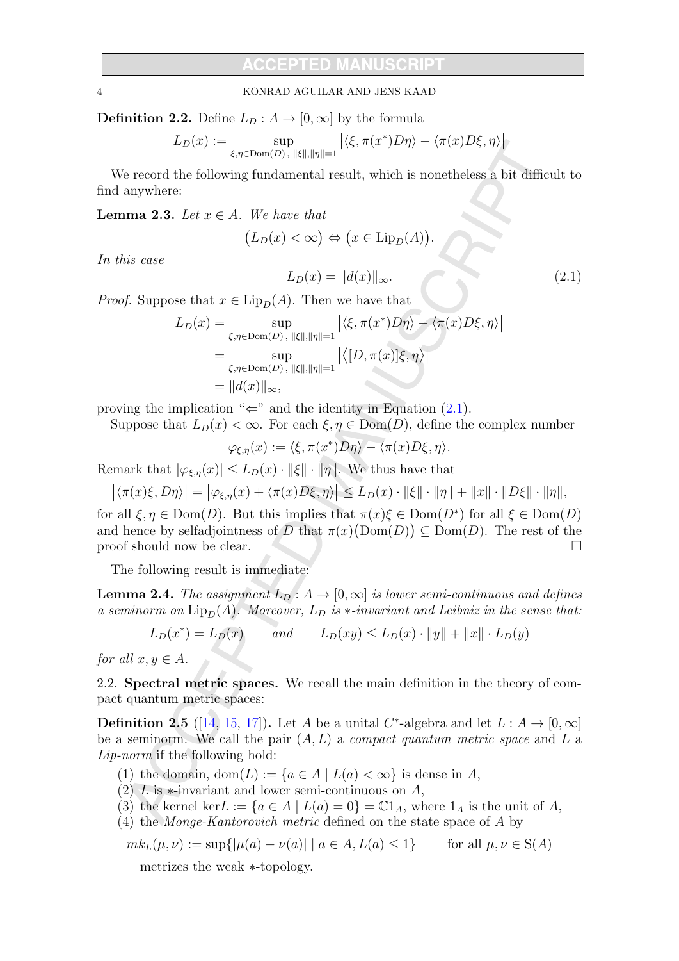**Definition 2.2.** Define  $L_D: A \to [0, \infty]$  by the formula

$$
L_D(x) := \sup_{\xi, \eta \in \text{Dom}(D), \, \|\xi\|, \|\eta\|=1} |\langle \xi, \pi(x^*)D\eta \rangle - \langle \pi(x)D\xi, \eta \rangle|
$$

We record the following fundamental result, which is nonetheless a bit difficult to find anywhere:

**Lemma 2.3.** Let  $x \in A$ . We have that

$$
(L_D(x) < \infty) \Leftrightarrow (x \in \text{Lip}_D(A))
$$

In this case

 $L_D(x) = ||d(x)||_{\infty}.$  (2.1)

.

*Proof.* Suppose that  $x \in \text{Lip}_D(A)$ . Then we have that

$$
L_D(x) = \sup_{\xi, \eta \in \text{Dom}(D), \|\xi\|, \|\eta\|=1} |\langle \xi, \pi(x^*)D\eta \rangle - \langle \pi(x)D\xi, \eta \rangle|
$$
  
= 
$$
\sup_{\xi, \eta \in \text{Dom}(D), \|\xi\|, \|\eta\|=1} |\langle [D, \pi(x)]\xi, \eta \rangle|
$$
  
= 
$$
||d(x)||_{\infty},
$$

proving the implication " $\Leftarrow$ " and the identity in Equation (2.1).

Suppose that  $L_D(x) < \infty$ . For each  $\xi, \eta \in Dom(D)$ , define the complex number

$$
\varphi_{\xi,\eta}(x) := \langle \xi, \pi(x^*) D \eta \rangle - \langle \pi(x) D \xi, \eta \rangle.
$$

Remark that  $|\varphi_{\xi,\eta}(x)| \leq L_D(x) \cdot ||\xi|| \cdot ||\eta||$ . We thus have that

$$
\left| \langle \pi(x)\xi, D\eta \rangle \right| = \left| \varphi_{\xi,\eta}(x) + \langle \pi(x)D\xi, \eta \rangle \right| \le L_D(x) \cdot \|\xi\| \cdot \|\eta\| + \|x\| \cdot \|D\xi\| \cdot \|\eta\|,
$$

for all  $\xi, \eta \in \text{Dom}(D)$ . But this implies that  $\pi(x)\xi \in \text{Dom}(D^*)$  for all  $\xi \in \text{Dom}(D)$ and hence by selfadjointness of D that  $\pi(x)$  (Dom(D))  $\subseteq$  Dom(D). The rest of the proof should now be clear.

The following result is immediate:

**Lemma 2.4.** The assignment  $L_D: A \to [0,\infty]$  is lower semi-continuous and defines a seminorm on  $\text{Lip}_D(A)$ . Moreover,  $L_D$  is  $\ast$ -invariant and Leibniz in the sense that:

$$
L_D(x^*) = L_D(x)
$$
 and  $L_D(xy) \le L_D(x) \cdot ||y|| + ||x|| \cdot L_D(y)$ 

for all  $x, y \in A$ .

2.2. Spectral metric spaces. We recall the main definition in the theory of compact quantum metric spaces:

**Definition 2.5** ([14, 15, 17]). Let A be a unital  $C^*$ -algebra and let  $L : A \rightarrow [0, \infty]$ be a seminorm. We call the pair  $(A, L)$  a *compact quantum metric space* and  $L$  a Lip-norm if the following hold:

- (1) the domain,  $dom(L) := \{a \in A \mid L(a) < \infty\}$  is dense in A,
- (2) L is  $\ast$ -invariant and lower semi-continuous on A,
- (3) the kernel ker $L := \{a \in A \mid L(a) = 0\} = \mathbb{C}1_A$ , where  $1_A$  is the unit of A,
- (4) the Monge-Kantorovich metric defined on the state space of A by

$$
mk_L(\mu, \nu) := \sup\{|\mu(a) - \nu(a)| \mid a \in A, L(a) \le 1\} \quad \text{for all } \mu, \nu \in S(A)
$$

metrizes the weak ∗-topology.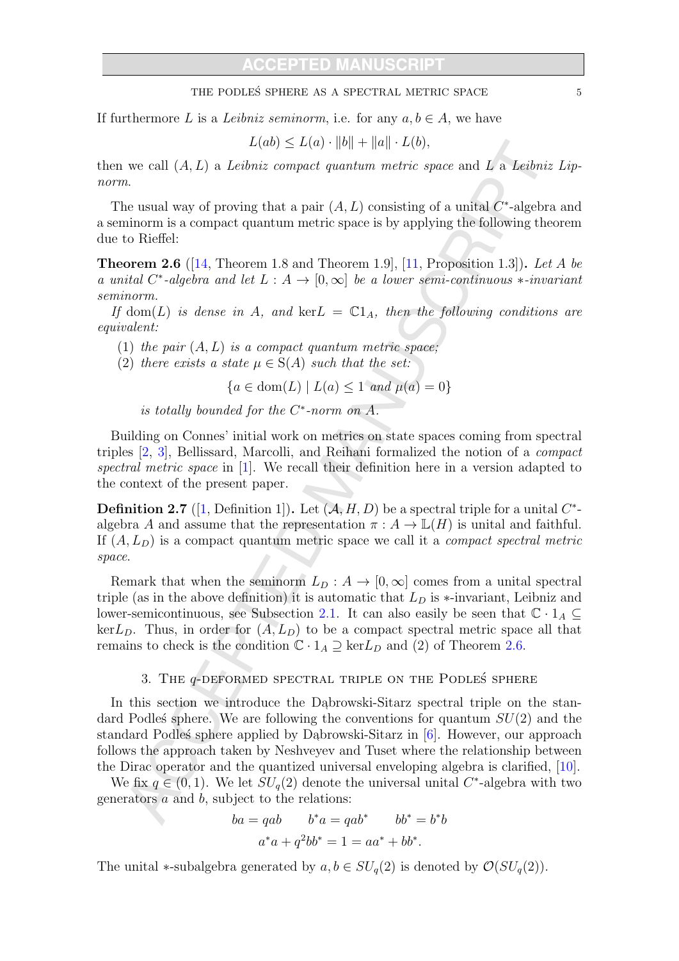If furthermore L is a Leibniz seminorm, i.e. for any  $a, b \in A$ , we have

$$
L(ab) \le L(a) \cdot ||b|| + ||a|| \cdot L(b),
$$

then we call  $(A, L)$  a Leibniz compact quantum metric space and L a Leibniz Lipnorm.

The usual way of proving that a pair  $(A, L)$  consisting of a unital  $C^*$ -algebra and a seminorm is a compact quantum metric space is by applying the following theorem due to Rieffel:

**Theorem 2.6** ([14, Theorem 1.8 and Theorem 1.9], [11, Proposition 1.3]). Let A be a unital  $C^*$ -algebra and let  $L : A \to [0, \infty]$  be a lower semi-continuous  $*$ -invariant seminorm.

If dom(L) is dense in A, and ker $L = \mathbb{C}1_A$ , then the following conditions are equivalent:

- (1) the pair  $(A, L)$  is a compact quantum metric space;
- (2) there exists a state  $\mu \in S(A)$  such that the set:

 ${a \in dom(L) \mid L(a) \leq 1 \text{ and } \mu(a) = 0}$ 

is totally bounded for the  $C^*$ -norm on A.

Building on Connes' initial work on metrics on state spaces coming from spectral triples [2, 3], Bellissard, Marcolli, and Reihani formalized the notion of a compact spectral metric space in [1]. We recall their definition here in a version adapted to the context of the present paper.

**Definition 2.7** ([1, Definition 1]). Let  $(A, H, D)$  be a spectral triple for a unital  $C^*$ algebra A and assume that the representation  $\pi : A \to \mathbb{L}(H)$  is unital and faithful. If  $(A, L<sub>D</sub>)$  is a compact quantum metric space we call it a *compact spectral metric* space.

Remark that when the seminorm  $L_D: A \to [0,\infty]$  comes from a unital spectral triple (as in the above definition) it is automatic that  $L_D$  is  $\ast$ -invariant, Leibniz and lower-semicontinuous, see Subsection 2.1. It can also easily be seen that  $\mathbb{C} \cdot 1_A \subseteq$  $\ker L_D$ . Thus, in order for  $(A, L_D)$  to be a compact spectral metric space all that remains to check is the condition  $\mathbb{C} \cdot 1_A \supseteq \text{ker} L_D$  and (2) of Theorem 2.6.

## 3. THE  $q$ -DEFORMED SPECTRAL TRIPLE ON THE PODLES SPHERE

In this section we introduce the Dabrowski-Sitarz spectral triple on the standard Podles' sphere. We are following the conventions for quantum  $SU(2)$  and the standard Podleś sphere applied by Dąbrowski-Sitarz in [6]. However, our approach follows the approach taken by Neshveyev and Tuset where the relationship between the Dirac operator and the quantized universal enveloping algebra is clarified, [10].

We fix  $q \in (0,1)$ . We let  $SU_q(2)$  denote the universal unital  $C^*$ -algebra with two generators a and b, subject to the relations:

$$
ba = qab \qquad b^*a = qab^* \qquad bb^* = b^*b
$$

$$
a^*a + q^2bb^* = 1 = aa^* + bb^*.
$$

The unital  $\ast$ -subalgebra generated by  $a, b \in SU_q(2)$  is denoted by  $\mathcal{O}(SU_q(2))$ .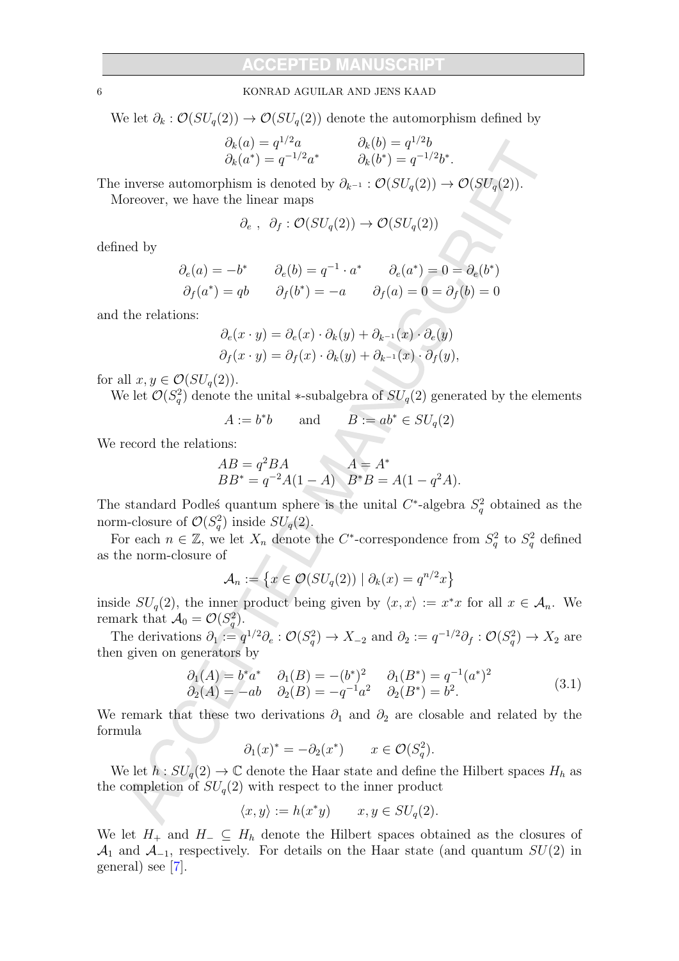We let  $\partial_k : \mathcal{O}(SU_q(2)) \to \mathcal{O}(SU_q(2))$  denote the automorphism defined by

$$
\begin{aligned}\n\partial_k(a) &= q^{1/2}a & \partial_k(b) &= q^{1/2}b \\
\partial_k(a^*) &= q^{-1/2}a^* & \partial_k(b^*) &= q^{-1/2}b^*.\n\end{aligned}
$$

The inverse automorphism is denoted by  $\partial_{k^{-1}} : \mathcal{O}(SU_q(2)) \to \mathcal{O}(SU_q(2)).$ 

Moreover, we have the linear maps

$$
\partial_e
$$
,  $\partial_f : \mathcal{O}(SU_q(2)) \to \mathcal{O}(SU_q(2))$ 

defined by

$$
\begin{aligned}\n\partial_e(a) &= -b^* & \partial_e(b) &= q^{-1} \cdot a^* & \partial_e(a^*) &= 0 = \partial_e(b^*) \\
\partial_f(a^*) &= qb & \partial_f(b^*) &= -a & \partial_f(a) &= 0 = \partial_f(b) = 0\n\end{aligned}
$$

and the relations:

$$
\partial_e(x \cdot y) = \partial_e(x) \cdot \partial_k(y) + \partial_{k-1}(x) \cdot \partial_e(y)
$$
  

$$
\partial_f(x \cdot y) = \partial_f(x) \cdot \partial_k(y) + \partial_{k-1}(x) \cdot \partial_f(y),
$$

for all  $x, y \in \mathcal{O}(SU_q(2)).$ 

We let  $\mathcal{O}(S_q^2)$  denote the unital \*-subalgebra of  $SU_q(2)$  generated by the elements

$$
A := b^*b \qquad \text{and} \qquad B := ab^* \in SU_q(2)
$$

We record the relations:

$$
AB = q^2BA
$$
  $A = A^*$   
\n $BB^* = q^{-2}A(1 - A)$   $B^*B = A(1 - q^2A)$ .

The standard Podles' quantum sphere is the unital  $C^*$ -algebra  $S_q^2$  obtained as the norm-closure of  $\mathcal{O}(S_q^2)$  inside  $SU_q(2)$ .

For each  $n \in \mathbb{Z}$ , we let  $X_n$  denote the C<sup>\*</sup>-correspondence from  $S_q^2$  to  $S_q^2$  defined as the norm-closure of

$$
\mathcal{A}_n := \left\{ x \in \mathcal{O}(SU_q(2)) \mid \partial_k(x) = q^{n/2} x \right\}
$$

inside  $SU_q(2)$ , the inner product being given by  $\langle x, x \rangle := x^*x$  for all  $x \in A_n$ . We remark that  $\mathcal{A}_0 = \mathcal{O}(S_q^2)$ .

The derivations  $\partial_1 := q^{1/2} \partial_e : \mathcal{O}(S_q^2) \to X_{-2}$  and  $\partial_2 := q^{-1/2} \partial_f : \mathcal{O}(S_q^2) \to X_2$  are then given on generators by

$$
\begin{aligned}\n\partial_1(A) &= b^* a^* & \partial_1(B) &= -(b^*)^2 & \partial_1(B^*) &= q^{-1}(a^*)^2 \\
\partial_2(A) &= -ab & \partial_2(B) &= -q^{-1}a^2 & \partial_2(B^*) &= b^2.\n\end{aligned}\n\tag{3.1}
$$

We remark that these two derivations  $\partial_1$  and  $\partial_2$  are closable and related by the formula

$$
\partial_1(x)^* = -\partial_2(x^*) \qquad x \in \mathcal{O}(S_q^2).
$$

We let  $h: SU_q(2) \to \mathbb{C}$  denote the Haar state and define the Hilbert spaces  $H_h$  as the completion of  $SU_q(2)$  with respect to the inner product

$$
\langle x, y \rangle := h(x^*y) \qquad x, y \in SU_q(2).
$$

We let  $H_+$  and  $H_-\subseteq H_h$  denote the Hilbert spaces obtained as the closures of  $\mathcal{A}_1$  and  $\mathcal{A}_{-1}$ , respectively. For details on the Haar state (and quantum  $SU(2)$  in general) see [7].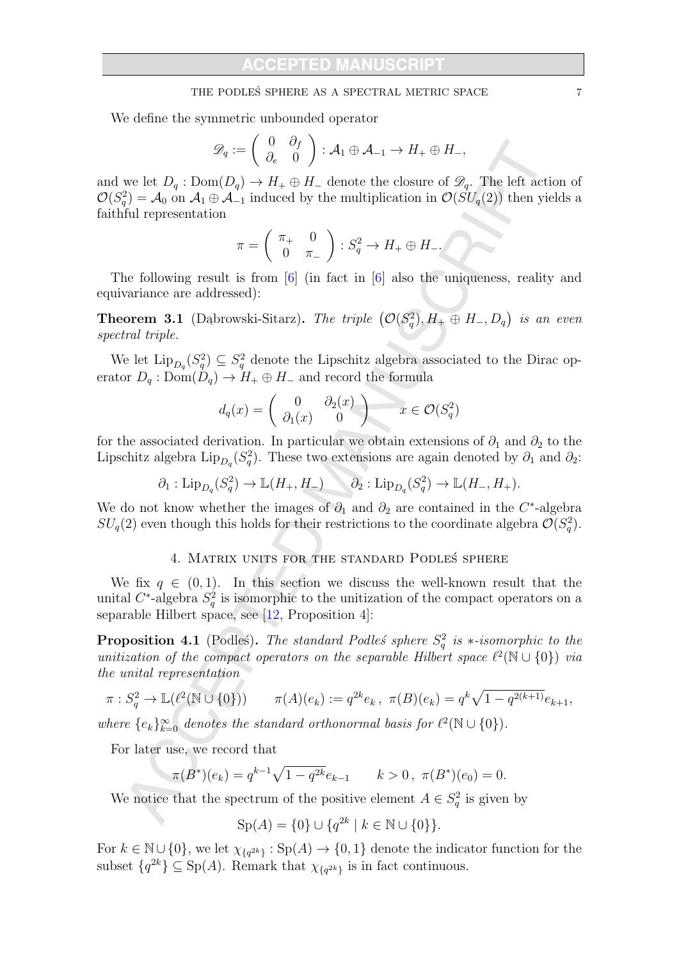We define the symmetric unbounded operator

$$
\mathscr{D}_q:=\left(\begin{array}{cc} 0 & \partial_f \\ \partial_e & 0 \end{array}\right):\mathcal{A}_1\oplus \mathcal{A}_{-1}\to H_+\oplus H_-,
$$

and we let  $D_q : \text{Dom}(D_q) \to H_+ \oplus H_-$  denote the closure of  $\mathscr{D}_q$ . The left action of  $\mathcal{O}(S_q^2) = \mathcal{A}_0$  on  $\mathcal{A}_1 \oplus \mathcal{A}_{-1}$  induced by the multiplication in  $\mathcal{O}(SU_q(2))$  then yields a faithful representation

$$
\pi = \left(\begin{array}{cc} \pi_+ & 0 \\ 0 & \pi_- \end{array}\right) : S_q^2 \to H_+ \oplus H_-.
$$

The following result is from  $\left[6\right]$  (in fact in  $\left[6\right]$  also the uniqueness, reality and equivariance are addressed):

**Theorem 3.1** (Dabrowski-Sitarz). The triple  $(\mathcal{O}(S_q^2), H_+ \oplus H_-, D_q)$  is an even spectral triple.

We let  $\text{Lip}_{D_q}(S_q^2) \subseteq S_q^2$  denote the Lipschitz algebra associated to the Dirac operator  $D_q: \text{Dom}(D_q) \to H_+ \oplus H_-$  and record the formula

$$
d_q(x) = \begin{pmatrix} 0 & \partial_2(x) \\ \partial_1(x) & 0 \end{pmatrix} \qquad x \in \mathcal{O}(S_q^2)
$$

for the associated derivation. In particular we obtain extensions of  $\partial_1$  and  $\partial_2$  to the Lipschitz algebra Lip<sub>Dq</sub>( $S_q^2$ ). These two extensions are again denoted by  $\partial_1$  and  $\partial_2$ :

$$
\partial_1: \mathrm{Lip}_{D_q}(S_q^2) \to \mathbb{L}(H_+, H_-) \qquad \partial_2: \mathrm{Lip}_{D_q}(S_q^2) \to \mathbb{L}(H_-, H_+).
$$

We do not know whether the images of  $\partial_1$  and  $\partial_2$  are contained in the C<sup>\*</sup>-algebra  $SU_q(2)$  even though this holds for their restrictions to the coordinate algebra  $\mathcal{O}(S_q^2)$ .

### 4. MATRIX UNITS FOR THE STANDARD PODLES SPHERE

We fix  $q \in (0,1)$ . In this section we discuss the well-known result that the unital  $C^*$ -algebra  $S_q^2$  is isomorphic to the unitization of the compact operators on a separable Hilbert space, see [12, Proposition 4]:

**Proposition 4.1** (Podleś). The standard Podles' sphere  $S_q^2$  is  $\ast$ -isomorphic to the unitization of the compact operators on the separable Hilbert space  $\ell^2(\mathbb{N} \cup \{0\})$  via the unital representation

$$
\pi: S_q^2 \to \mathbb{L}(\ell^2(\mathbb{N} \cup \{0\})) \qquad \pi(A)(e_k) := q^{2k}e_k, \ \pi(B)(e_k) = q^k \sqrt{1 - q^{2(k+1)}}e_{k+1},
$$

where  $\{e_k\}_{k=0}^{\infty}$  denotes the standard orthonormal basis for  $\ell^2(\mathbb{N}\cup\{0\})$ .

For later use, we record that

$$
\pi(B^*)(e_k) = q^{k-1}\sqrt{1-q^{2k}}e_{k-1} \qquad k > 0, \ \pi(B^*)(e_0) = 0.
$$

We notice that the spectrum of the positive element  $A \in S_q^2$  is given by

$$
Sp(A) = \{0\} \cup \{q^{2k} \mid k \in \mathbb{N} \cup \{0\}\}.
$$

For  $k \in \mathbb{N} \cup \{0\}$ , we let  $\chi_{\{q^{2k}\}}: Sp(A) \to \{0,1\}$  denote the indicator function for the subset  $\{q^{2k}\}\subseteq \text{Sp}(A)$ . Remark that  $\chi_{\{q^{2k}\}}$  is in fact continuous.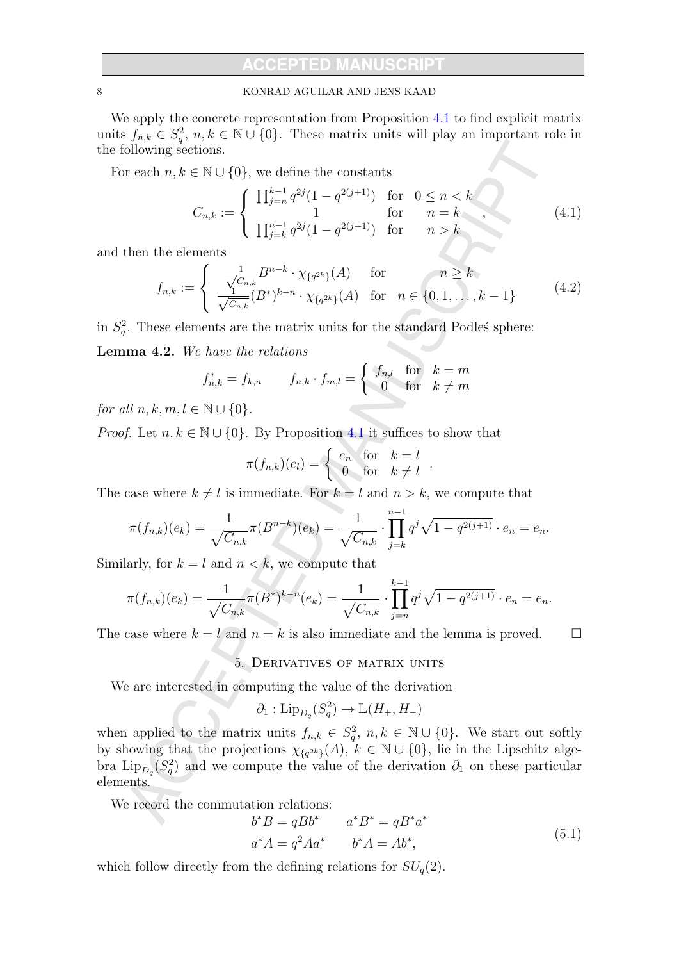We apply the concrete representation from Proposition 4.1 to find explicit matrix units  $f_{n,k} \in S_q^2$ ,  $n, k \in \mathbb{N} \cup \{0\}$ . These matrix units will play an important role in the following sections.

For each  $n, k \in \mathbb{N} \cup \{0\}$ , we define the constants

$$
C_{n,k} := \begin{cases} \prod_{j=n}^{k-1} q^{2j} (1 - q^{2(j+1)}) & \text{for } 0 \le n < k \\ 1 & \text{for } n = k \\ \prod_{j=k}^{n-1} q^{2j} (1 - q^{2(j+1)}) & \text{for } n > k \end{cases}
$$
(4.1)

and then the elements

$$
f_{n,k} := \begin{cases} \frac{1}{\sqrt{C_{n,k}}} B^{n-k} \cdot \chi_{\{q^{2k}\}}(A) & \text{for} \qquad n \ge k\\ \frac{1}{\sqrt{C_{n,k}}} (B^*)^{k-n} \cdot \chi_{\{q^{2k}\}}(A) & \text{for} \quad n \in \{0,1,\ldots,k-1\} \end{cases}
$$
(4.2)

in  $S_q^2$ . These elements are the matrix units for the standard Podles' sphere:

Lemma 4.2. We have the relations

$$
f_{n,k}^* = f_{k,n} \qquad f_{n,k} \cdot f_{m,l} = \begin{cases} f_{n,l} & \text{for } k = m \\ 0 & \text{for } k \neq m \end{cases}
$$

for all  $n, k, m, l \in \mathbb{N} \cup \{0\}$ .

*Proof.* Let  $n, k \in \mathbb{N} \cup \{0\}$ . By Proposition 4.1 it suffices to show that

$$
\pi(f_{n,k})(e_l) = \begin{cases} e_n & \text{for } k = l \\ 0 & \text{for } k \neq l \end{cases}.
$$

The case where  $k \neq l$  is immediate. For  $k = l$  and  $n > k$ , we compute that

$$
\pi(f_{n,k})(e_k) = \frac{1}{\sqrt{C_{n,k}}}\pi(B^{n-k})(e_k) = \frac{1}{\sqrt{C_{n,k}}}\cdot \prod_{j=k}^{n-1} q^j \sqrt{1 - q^{2(j+1)}} \cdot e_n = e_n.
$$

Similarly, for  $k = l$  and  $n < k$ , we compute that

$$
\pi(f_{n,k})(e_k) = \frac{1}{\sqrt{C_{n,k}}}\pi(B^*)^{k-n}(e_k) = \frac{1}{\sqrt{C_{n,k}}} \cdot \prod_{j=n}^{k-1} q^j \sqrt{1 - q^{2(j+1)}} \cdot e_n = e_n.
$$

The case where  $k = l$  and  $n = k$  is also immediate and the lemma is proved.  $\square$ 

## 5. Derivatives of matrix units

We are interested in computing the value of the derivation

$$
\partial_1: \mathrm{Lip}_{D_q}(S^2_q) \to \mathbb{L}(H_+, H_-)
$$

when applied to the matrix units  $f_{n,k} \in S_q^2$ ,  $n, k \in \mathbb{N} \cup \{0\}$ . We start out softly by showing that the projections  $\chi_{\{q^{2k}\}}(A), k \in \mathbb{N} \cup \{0\}$ , lie in the Lipschitz algebra  $\text{Lip}_{D_q}(S_q^2)$  and we compute the value of the derivation  $\partial_1$  on these particular elements.

We record the commutation relations:

$$
b^*B = qBb^* \qquad a^*B^* = qB^*a^*
$$
  

$$
a^*A = q^2Aa^* \qquad b^*A = Ab^*,
$$
 (5.1)

which follow directly from the defining relations for  $SU_q(2)$ .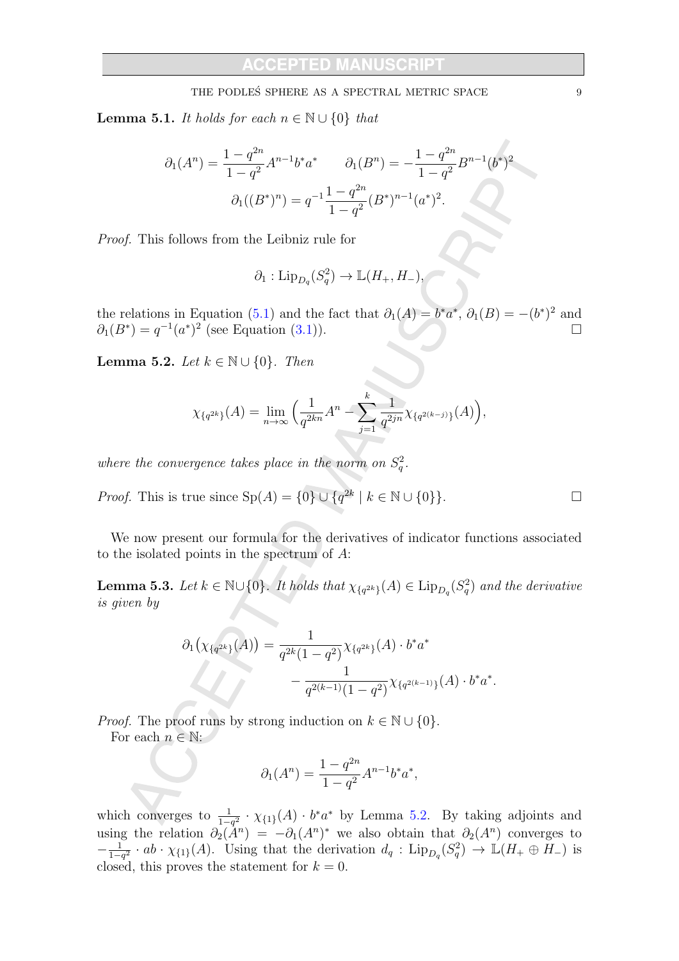**Lemma 5.1.** It holds for each  $n \in \mathbb{N} \cup \{0\}$  that

$$
\partial_1(A^n) = \frac{1 - q^{2n}}{1 - q^2} A^{n-1} b^* a^* \qquad \partial_1(B^n) = -\frac{1 - q^{2n}}{1 - q^2} B^{n-1} (b^*)^2
$$

$$
\partial_1((B^*)^n) = q^{-1} \frac{1 - q^{2n}}{1 - q^2} (B^*)^{n-1} (a^*)^2.
$$

Proof. This follows from the Leibniz rule for

$$
\partial_1: \mathrm{Lip}_{D_q}(S_q^2) \to \mathbb{L}(H_+, H_-),
$$

the relations in Equation (5.1) and the fact that  $\partial_1(A) = b^* a^*, \partial_1(B) = -(b^*)^2$  and  $\partial_1(B^*) = q^{-1}(a^*)^2$  (see Equation (3.1)).

Lemma 5.2. Let  $k \in \mathbb{N} \cup \{0\}$ . Then

$$
\chi_{\{q^{2k}\}}(A) = \lim_{n \to \infty} \left( \frac{1}{q^{2kn}} A^n - \sum_{j=1}^k \frac{1}{q^{2jn}} \chi_{\{q^{2(k-j)}\}}(A) \right),
$$

where the convergence takes place in the norm on  $S_q^2$ .

*Proof.* This is true since  $\text{Sp}(A) = \{0\} \cup \{q^{2k} \mid k \in \mathbb{N} \cup \{0\}\}.$ 

We now present our formula for the derivatives of indicator functions associated to the isolated points in the spectrum of A:

**Lemma 5.3.** Let  $k \in \mathbb{N} \cup \{0\}$ . It holds that  $\chi_{\{q^{2k}\}}(A) \in \text{Lip}_{D_q}(S_q^2)$  and the derivative is given by

$$
\partial_1(\chi_{\{q^{2k}\}}(A)) = \frac{1}{q^{2k}(1-q^2)} \chi_{\{q^{2k}\}}(A) \cdot b^* a^*
$$

$$
-\frac{1}{q^{2(k-1)}(1-q^2)} \chi_{\{q^{2(k-1)}\}}(A) \cdot b^* a^*.
$$

*Proof.* The proof runs by strong induction on  $k \in \mathbb{N} \cup \{0\}$ .

For each  $n \in \mathbb{N}$ :

$$
\partial_1(A^n) = \frac{1 - q^{2n}}{1 - q^2} A^{n-1} b^* a^*,
$$

which converges to  $\frac{1}{1-q^2} \cdot \chi_{\{1\}}(A) \cdot b^* a^*$  by Lemma 5.2. By taking adjoints and using the relation  $\partial_2(A^n) = -\partial_1(A^n)^*$  we also obtain that  $\partial_2(A^n)$  converges to  $-\frac{1}{1-}$  $\frac{1}{1-q^2} \cdot ab \cdot \chi_{\{1\}}(A)$ . Using that the derivation  $d_q: \mathrm{Lip}_{D_q}(S_q^2) \to \mathbb{L}(H_+ \oplus H_-)$  is closed, this proves the statement for  $k = 0$ .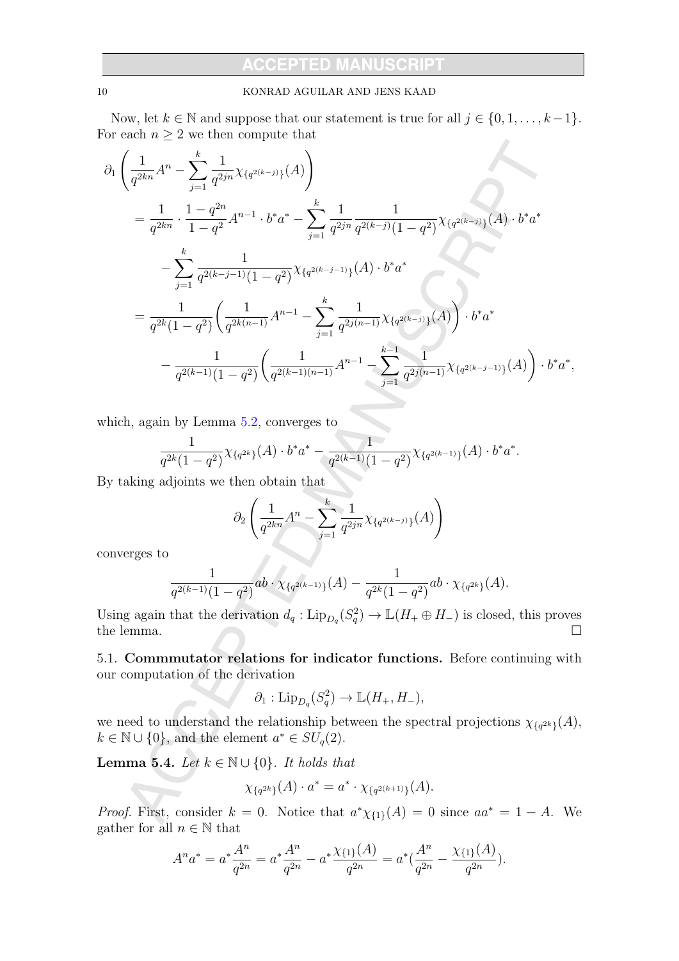Now, let  $k \in \mathbb{N}$  and suppose that our statement is true for all  $j \in \{0, 1, \ldots, k-1\}$ . For each  $n \geq 2$  we then compute that

$$
\partial_1 \left( \frac{1}{q^{2kn}} A^n - \sum_{j=1}^k \frac{1}{q^{2jn}} \chi_{\{q^{2(k-j)}\}}(A) \right)
$$
\n
$$
= \frac{1}{q^{2kn}} \cdot \frac{1 - q^{2n}}{1 - q^2} A^{n-1} \cdot b^* a^* - \sum_{j=1}^k \frac{1}{q^{2jn}} \frac{1}{q^{2(k-j)}(1 - q^2)} \chi_{\{q^{2(k-j)}\}}(A) \cdot b^* a^*
$$
\n
$$
- \sum_{j=1}^k \frac{1}{q^{2(k-j-1)}(1 - q^2)} \chi_{\{q^{2(k-j-1)}\}}(A) \cdot b^* a^*
$$
\n
$$
= \frac{1}{q^{2k}(1 - q^2)} \left( \frac{1}{q^{2k(n-1)}} A^{n-1} - \sum_{j=1}^k \frac{1}{q^{2j(n-1)}} \chi_{\{q^{2(k-j)}\}}(A) \right) \cdot b^* a^*
$$
\n
$$
- \frac{1}{q^{2(k-1)}(1 - q^2)} \left( \frac{1}{q^{2(k-1)(n-1)}} A^{n-1} - \sum_{j=1}^{k-1} \frac{1}{q^{2j(n-1)}} \chi_{\{q^{2(k-j-1)}\}}(A) \right) \cdot b^* a^*,
$$

which, again by Lemma 5.2, converges to

$$
\frac{1}{q^{2k}(1-q^2)}\chi_{\{q^{2k}\}}(A)\cdot b^*a^* - \frac{1}{q^{2(k-1)}(1-q^2)}\chi_{\{q^{2(k-1)}\}}(A)\cdot b^*a^*.
$$

By taking adjoints we then obtain that

$$
\partial_2 \left( \frac{1}{q^{2kn}} A^n - \sum_{j=1}^k \frac{1}{q^{2jn}} \chi_{\{q^{2(k-j)}\}}(A) \right)
$$

converges to

$$
\frac{1}{q^{2(k-1)}(1-q^2)}ab\cdot\chi_{\{q^{2(k-1)}\}}(A)-\frac{1}{q^{2k}(1-q^2)}ab\cdot\chi_{\{q^{2k}\}}(A).
$$

Using again that the derivation  $d_q: \text{Lip}_{D_q}(S_q^2) \to \mathbb{L}(H_+ \oplus H_-)$  is closed, this proves the lemma.

5.1. Commmutator relations for indicator functions. Before continuing with our computation of the derivation

$$
\partial_1: \mathrm{Lip}_{D_q}(S_q^2) \to \mathbb{L}(H_+, H_-),
$$

we need to understand the relationship between the spectral projections  $\chi_{\{q^{2k}\}}(A)$ ,  $k \in \mathbb{N} \cup \{0\}$ , and the element  $a^* \in SU_q(2)$ .

**Lemma 5.4.** Let  $k \in \mathbb{N} \cup \{0\}$ . It holds that

$$
\chi_{\{q^{2k}\}}(A) \cdot a^* = a^* \cdot \chi_{\{q^{2(k+1)}\}}(A).
$$

*Proof.* First, consider  $k = 0$ . Notice that  $a^*\chi_{\{1\}}(A) = 0$  since  $aa^* = 1 - A$ . We gather for all  $n \in \mathbb{N}$  that

$$
A^n a^* = a^* \frac{A^n}{q^{2n}} = a^* \frac{A^n}{q^{2n}} - a^* \frac{\chi_{\{1\}}(A)}{q^{2n}} = a^* \left(\frac{A^n}{q^{2n}} - \frac{\chi_{\{1\}}(A)}{q^{2n}}\right).
$$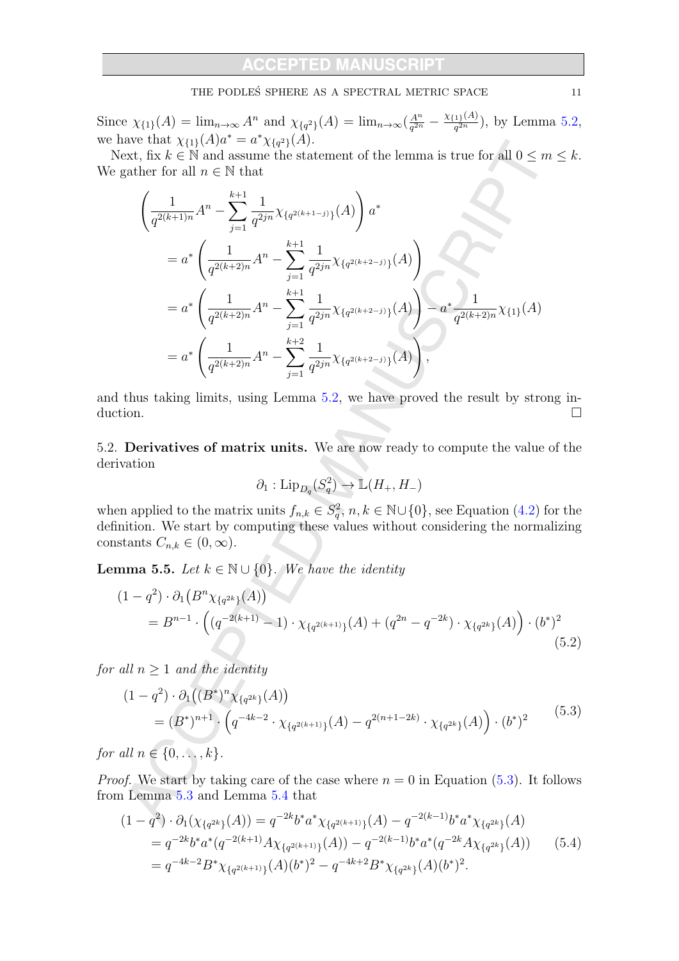Since  $\chi_{\{1\}}(A) = \lim_{n \to \infty} A^n$  and  $\chi_{\{q^2\}}(A) = \lim_{n \to \infty} \left( \frac{A^n}{q^{2n}} \right)$  $\frac{A^n}{q^{2n}} - \frac{\chi_{\{1\}}(A)}{q^{2n}}$  $\frac{1}{q^{2n}}$ , by Lemma 5.2, we have that  $\chi_{\{1\}}(A)a^* = a^* \chi_{\{q^2\}}(A)$ .

Next, fix  $k \in \mathbb{N}$  and assume the statement of the lemma is true for all  $0 \leq m \leq k$ . We gather for all  $n \in \mathbb{N}$  that

$$
\left(\frac{1}{q^{2(k+1)n}}A^n - \sum_{j=1}^{k+1} \frac{1}{q^{2jn}} \chi_{\{q^{2(k+1-j)}\}}(A)\right) a^*
$$
\n
$$
= a^* \left(\frac{1}{q^{2(k+2)n}}A^n - \sum_{j=1}^{k+1} \frac{1}{q^{2jn}} \chi_{\{q^{2(k+2-j)}\}}(A)\right)
$$
\n
$$
= a^* \left(\frac{1}{q^{2(k+2)n}}A^n - \sum_{j=1}^{k+1} \frac{1}{q^{2jn}} \chi_{\{q^{2(k+2-j)}\}}(A)\right) - a^* \frac{1}{q^{2(k+2)n}} \chi_{\{1\}}(A)
$$
\n
$$
= a^* \left(\frac{1}{q^{2(k+2)n}}A^n - \sum_{j=1}^{k+2} \frac{1}{q^{2jn}} \chi_{\{q^{2(k+2-j)}\}}(A)\right),
$$

and thus taking limits, using Lemma 5.2, we have proved the result by strong in- $\Box$ 

5.2. Derivatives of matrix units. We are now ready to compute the value of the derivation

$$
\partial_1: \mathrm{Lip}_{D_q}(S^2_q) \to \mathbb{L}(H_+, H_-)
$$

when applied to the matrix units  $f_{n,k} \in S_q^2$ ,  $n, k \in \mathbb{N} \cup \{0\}$ , see Equation (4.2) for the definition. We start by computing these values without considering the normalizing constants  $C_{n,k} \in (0,\infty)$ .

**Lemma 5.5.** Let  $k \in \mathbb{N} \cup \{0\}$ . We have the identity

$$
(1 - q2) \cdot \partial_1 (B^n \chi_{\{q^{2k}\}}(A))
$$
  
=  $B^{n-1} \cdot \left( (q^{-2(k+1)} - 1) \cdot \chi_{\{q^{2(k+1)}\}}(A) + (q^{2n} - q^{-2k}) \cdot \chi_{\{q^{2k}\}}(A) \right) \cdot (b^*)^2$   
(5.2)

for all  $n \geq 1$  and the identity

$$
(1 - q2) \cdot \partial_1((B^*)^n \chi_{\{q^{2k}\}}(A))
$$
  
=  $(B^*)^{n+1} \cdot \left(q^{-4k-2} \cdot \chi_{\{q^{2(k+1)}\}}(A) - q^{2(n+1-2k)} \cdot \chi_{\{q^{2k}\}}(A)\right) \cdot (b^*)^2$  (5.3)

for all  $n \in \{0, \ldots, k\}$ .

*Proof.* We start by taking care of the case where  $n = 0$  in Equation (5.3). It follows from Lemma 5.3 and Lemma 5.4 that

$$
(1 - q^2) \cdot \partial_1(\chi_{\{q^{2k}\}}(A)) = q^{-2k} b^* a^* \chi_{\{q^{2(k+1)}\}}(A) - q^{-2(k-1)} b^* a^* \chi_{\{q^{2k}\}}(A)
$$
  
=  $q^{-2k} b^* a^* (q^{-2(k+1)} A \chi_{\{q^{2(k+1)}\}}(A)) - q^{-2(k-1)} b^* a^* (q^{-2k} A \chi_{\{q^{2k}\}}(A))$  (5.4)  
=  $q^{-4k-2} B^* \chi_{\{q^{2(k+1)}\}}(A) (b^*)^2 - q^{-4k+2} B^* \chi_{\{q^{2k}\}}(A) (b^*)^2.$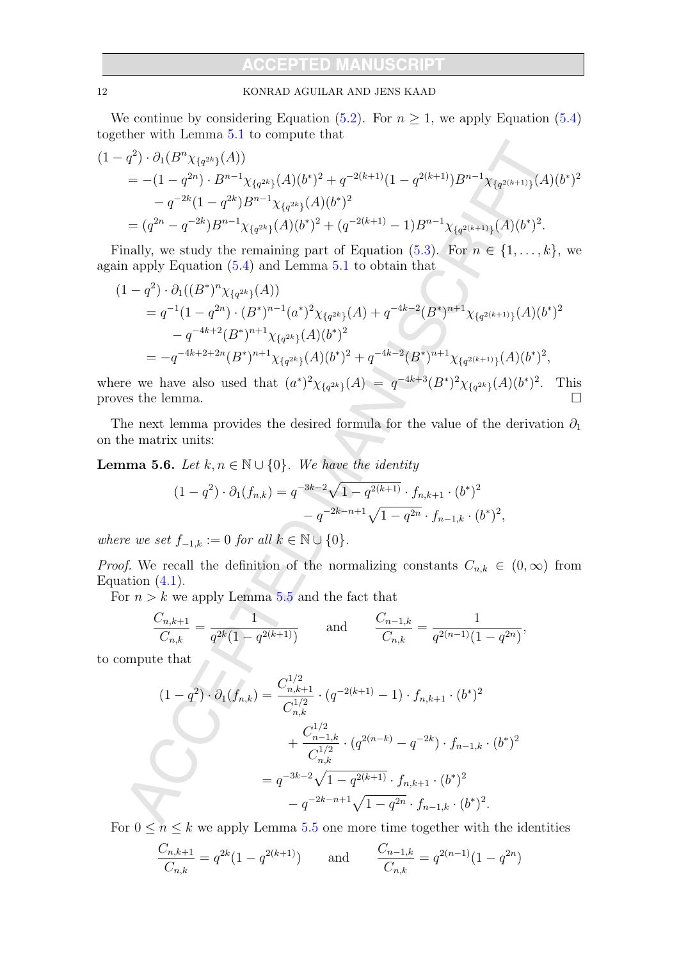## **ACCEPTED MANUSCR**

#### 12 KONRAD AGUILAR AND JENS KAAD

We continue by considering Equation (5.2). For  $n \geq 1$ , we apply Equation (5.4) together with Lemma 5.1 to compute that

$$
(1 - q2) \cdot \partial_1 (B^n \chi_{\{q^{2k}\}}(A))
$$
  
= -(1 - q<sup>2n</sup>) \cdot B<sup>n-1</sup> \chi\_{\{q^{2k}\}}(A) (b^\*)<sup>2</sup> + q<sup>-2(k+1)</sup> (1 - q<sup>2(k+1)</sup>) B<sup>n-1</sup> \chi\_{\{q^{2(k+1)}\}}(A) (b^\*)<sup>2</sup>  
- q<sup>-2k</sup> (1 - q<sup>2k</sup>) B<sup>n-1</sup> \chi\_{\{q^{2k}\}}(A) (b^\*)<sup>2</sup>  
= (q<sup>2n</sup> - q<sup>-2k</sup>) B<sup>n-1</sup> \chi\_{\{q^{2k}\}}(A) (b^\*)<sup>2</sup> + (q<sup>-2(k+1)</sup> - 1) B<sup>n-1</sup> \chi\_{\{q^{2(k+1)}\}}(A) (b^\*)<sup>2</sup>.

Finally, we study the remaining part of Equation (5.3). For  $n \in \{1, \ldots, k\}$ , we again apply Equation (5.4) and Lemma 5.1 to obtain that

$$
(1 - q2) \cdot \partial_1((B^*)^n \chi_{\{q^{2k}\}}(A))
$$
  
=  $q^{-1}(1 - q^{2n}) \cdot (B^*)^{n-1}(a^*)^2 \chi_{\{q^{2k}\}}(A) + q^{-4k-2}(B^*)^{n+1} \chi_{\{q^{2(k+1)}\}}(A)(b^*)^2$   
 $- q^{-4k+2}(B^*)^{n+1} \chi_{\{q^{2k}\}}(A)(b^*)^2$   
=  $-q^{-4k+2+2n}(B^*)^{n+1} \chi_{\{q^{2k}\}}(A)(b^*)^2 + q^{-4k-2}(B^*)^{n+1} \chi_{\{q^{2(k+1)}\}}(A)(b^*)^2,$ 

where we have also used that  $(a^*)^2 \chi_{\{q^{2k}\}}(A) = q^{-4k+3} (B^*)^2 \chi_{\{q^{2k}\}}(A) (b^*)^2$ . This proves the lemma.  $\Box$ 

The next lemma provides the desired formula for the value of the derivation  $\partial_1$ on the matrix units:

**Lemma 5.6.** Let  $k, n \in \mathbb{N} \cup \{0\}$ . We have the identity

$$
(1 - q^2) \cdot \partial_1(f_{n,k}) = q^{-3k-2} \sqrt{1 - q^{2(k+1)}} \cdot f_{n,k+1} \cdot (b^*)^2
$$

$$
-q^{-2k-n+1} \sqrt{1 - q^{2n}} \cdot f_{n-1,k} \cdot (b^*)^2,
$$

where we set  $f_{-1,k} := 0$  for all  $k \in \mathbb{N} \cup \{0\}.$ 

*Proof.* We recall the definition of the normalizing constants  $C_{n,k} \in (0,\infty)$  from Equation  $(4.1)$ .

For  $n > k$  we apply Lemma 5.5 and the fact that

$$
\frac{C_{n,k+1}}{C_{n,k}} = \frac{1}{q^{2k}(1-q^{2(k+1)})} \quad \text{and} \quad \frac{C_{n-1,k}}{C_{n,k}} = \frac{1}{q^{2(n-1)}(1-q^{2n})},
$$

to compute that

$$
(1 - q^2) \cdot \partial_1(f_{n,k}) = \frac{C_{n,k+1}^{1/2}}{C_{n,k}^{1/2}} \cdot (q^{-2(k+1)} - 1) \cdot f_{n,k+1} \cdot (b^*)^2
$$

$$
+ \frac{C_{n-1,k}^{1/2}}{C_{n,k}^{1/2}} \cdot (q^{2(n-k)} - q^{-2k}) \cdot f_{n-1,k} \cdot (b^*)^2
$$

$$
= q^{-3k-2} \sqrt{1 - q^{2(k+1)}} \cdot f_{n,k+1} \cdot (b^*)^2
$$

$$
- q^{-2k-n+1} \sqrt{1 - q^{2n}} \cdot f_{n-1,k} \cdot (b^*)^2.
$$

For  $0 \leq n \leq k$  we apply Lemma 5.5 one more time together with the identities

$$
\frac{C_{n,k+1}}{C_{n,k}} = q^{2k} (1 - q^{2(k+1)}) \quad \text{and} \quad \frac{C_{n-1,k}}{C_{n,k}} = q^{2(n-1)} (1 - q^{2n})
$$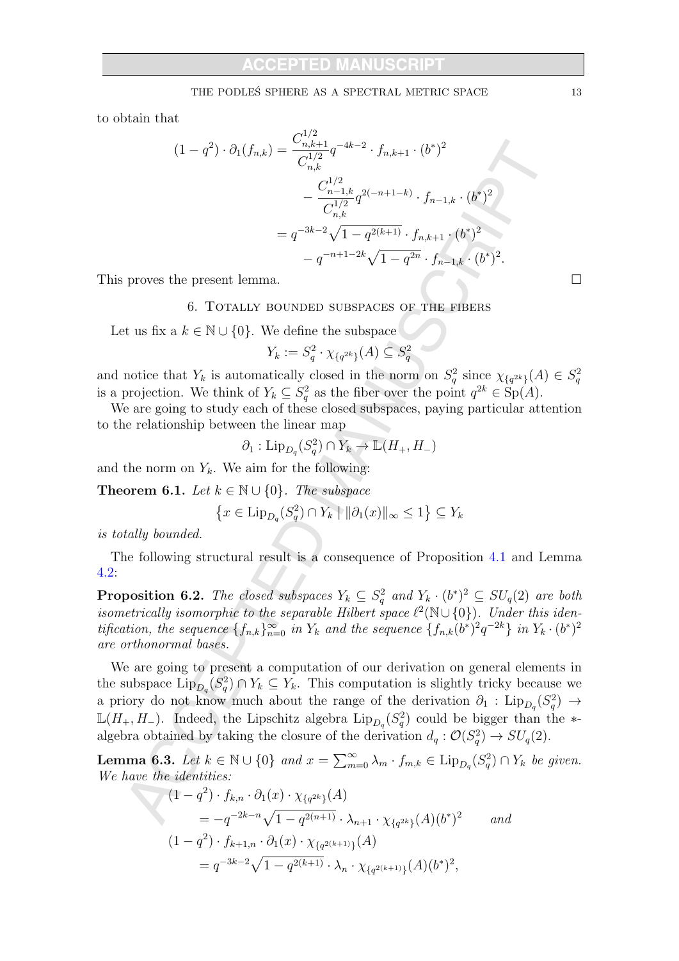to obtain that

$$
(1 - q^2) \cdot \partial_1(f_{n,k}) = \frac{C_{n,k+1}^{1/2}}{C_{n,k}^{1/2}} q^{-4k-2} \cdot f_{n,k+1} \cdot (b^*)^2
$$

$$
- \frac{C_{n-1,k}^{1/2}}{C_{n,k}^{1/2}} q^{2(-n+1-k)} \cdot f_{n-1,k} \cdot (b^*)^2
$$

$$
= q^{-3k-2} \sqrt{1 - q^{2(k+1)}} \cdot f_{n,k+1} \cdot (b^*)^2
$$

$$
- q^{-n+1-2k} \sqrt{1 - q^{2n}} \cdot f_{n-1,k} \cdot (b^*)^2.
$$

This proves the present lemma.

#### 6. Totally bounded subspaces of the fibers

Let us fix a  $k \in \mathbb{N} \cup \{0\}$ . We define the subspace

$$
Y_k := S_q^2 \cdot \chi_{\{q^{2k}\}}(A) \subseteq S_q^2
$$

and notice that  $Y_k$  is automatically closed in the norm on  $S_q^2$  since  $\chi_{\{q^{2k}\}}(A) \in S_q^2$ is a projection. We think of  $Y_k \subseteq S_q^2$  as the fiber over the point  $q^{2k} \in Sp(A)$ .

We are going to study each of these closed subspaces, paying particular attention to the relationship between the linear map

$$
\partial_1: \mathrm{Lip}_{D_q}(S_q^2) \cap Y_k \to \mathbb{L}(H_+, H_-)
$$

and the norm on  $Y_k$ . We aim for the following:

Theorem 6.1. Let  $k \in \mathbb{N} \cup \{0\}$ . The subspace

$$
\left\{x \in \text{Lip}_{D_q}(S_q^2) \cap Y_k \mid \|\partial_1(x)\|_{\infty} \le 1\right\} \subseteq Y_k
$$

is totally bounded.

The following structural result is a consequence of Proposition 4.1 and Lemma 4.2:

**Proposition 6.2.** The closed subspaces  $Y_k \subseteq S_q^2$  and  $Y_k \cdot (b^*)^2 \subseteq SU_q(2)$  are both isometrically isomorphic to the separable Hilbert space  $\ell^2(\mathbb{N}\cup\{0\})$ . Under this identification, the sequence  $\{f_{n,k}\}_{n=0}^{\infty}$  in  $Y_k$  and the sequence  $\{f_{n,k}(b^*)^2q^{-2k}\}\$ in  $Y_k \cdot (b^*)^2$ are orthonormal bases.

We are going to present a computation of our derivation on general elements in the subspace  $\text{Lip}_{D_q}(S_q^2) \cap Y_k \subseteq Y_k$ . This computation is slightly tricky because we a priory do not know much about the range of the derivation  $\partial_1$ : Lip<sub>Dq</sub>( $S_q^2$ ) →  $\mathbb{L}(H_+, H_-)$ . Indeed, the Lipschitz algebra  $\text{Lip}_{D_q}(S_q^2)$  could be bigger than the ∗algebra obtained by taking the closure of the derivation  $d_q : \mathcal{O}(S_q^2) \to SU_q(2)$ .

**Lemma 6.3.** Let  $k \in \mathbb{N} \cup \{0\}$  and  $x = \sum_{m=0}^{\infty} \lambda_m \cdot f_{m,k} \in \text{Lip}_{D_q}(S_q^2) \cap Y_k$  be given. We have the *identities*:

$$
(1 - q2) \cdot f_{k,n} \cdot \partial_1(x) \cdot \chi_{\{q^{2k}\}}(A)
$$
  
=  $-q^{-2k-n} \sqrt{1 - q^{2(n+1)}} \cdot \lambda_{n+1} \cdot \chi_{\{q^{2k}\}}(A) (b^*)^2$  and  

$$
(1 - q2) \cdot f_{k+1,n} \cdot \partial_1(x) \cdot \chi_{\{q^{2(k+1)}\}}(A)
$$
  
=  $q^{-3k-2} \sqrt{1 - q^{2(k+1)}} \cdot \lambda_n \cdot \chi_{\{q^{2(k+1)}\}}(A) (b^*)^2,$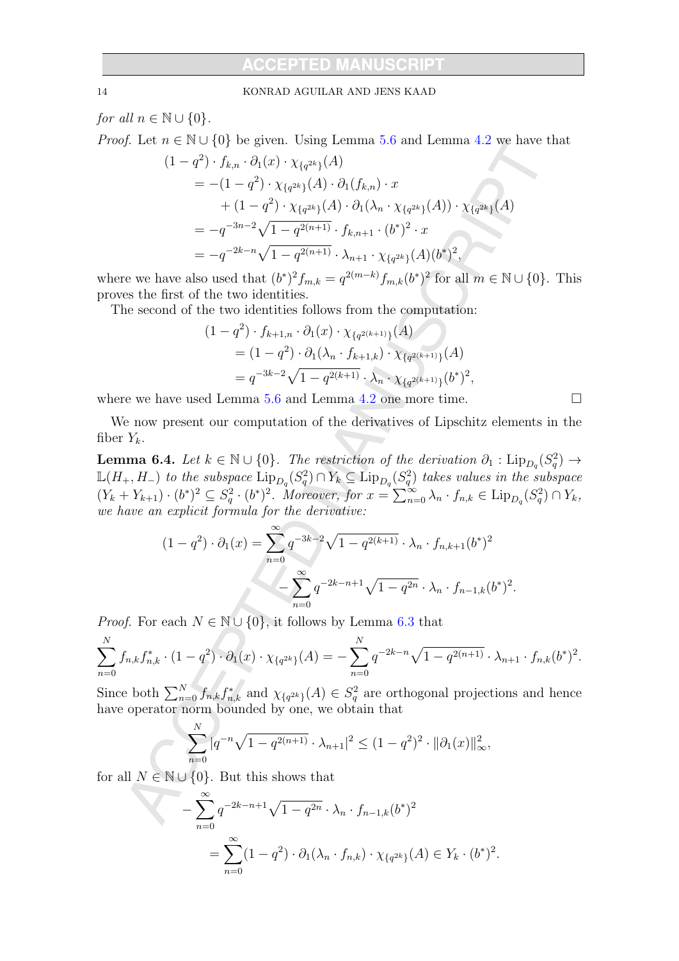for all  $n \in \mathbb{N} \cup \{0\}$ .

### *Proof.* Let  $n \in \mathbb{N} \cup \{0\}$  be given. Using Lemma 5.6 and Lemma 4.2 we have that

$$
(1 - q2) \cdot f_{k,n} \cdot \partial_1(x) \cdot \chi_{\{q^{2k}\}}(A)
$$
  
= -(1 - q<sup>2</sup>) \cdot \chi\_{\{q^{2k}\}}(A) \cdot \partial\_1(f\_{k,n}) \cdot x  
+ (1 - q<sup>2</sup>) \cdot \chi\_{\{q^{2k}\}}(A) \cdot \partial\_1(\lambda\_n \cdot \chi\_{\{q^{2k}\}}(A)) \cdot \chi\_{\{q^{2k}\}}(A)  
= -q<sup>-3n-2</sup> \sqrt{1 - q<sup>2(n+1)</sup>} \cdot f\_{k,n+1} \cdot (b^\*)<sup>2</sup> \cdot x  
= -q<sup>-2k-n</sup> \sqrt{1 - q<sup>2(n+1)</sup>} \cdot \lambda\_{n+1} \cdot \chi\_{\{q^{2k}\}}(A)(b^\*)<sup>2</sup>,

where we have also used that  $(b^*)^2 f_{m,k} = q^{2(m-k)} f_{m,k}(b^*)^2$  for all  $m \in \mathbb{N} \cup \{0\}$ . This proves the first of the two identities.

The second of the two identities follows from the computation:

$$
(1 - q2) \cdot f_{k+1,n} \cdot \partial_1(x) \cdot \chi_{\{q^{2(k+1)}\}}(A)
$$
  
=  $(1 - q2) \cdot \partial_1(\lambda_n \cdot f_{k+1,k}) \cdot \chi_{\{q^{2(k+1)}\}}(A)$   
=  $q^{-3k-2}\sqrt{1 - q^{2(k+1)}} \cdot \lambda_n \cdot \chi_{\{q^{2(k+1)}\}}(b^*)^2$ ,

where we have used Lemma 5.6 and Lemma 4.2 one more time.  $\Box$ 

We now present our computation of the derivatives of Lipschitz elements in the fiber  $Y_k$ .

**Lemma 6.4.** Let  $k \in \mathbb{N} \cup \{0\}$ . The restriction of the derivation  $\partial_1 : \text{Lip}_{D_q}(S_q^2) \to$  $\mathbb{L}(H_+, H_-)$  to the subspace  $\text{Lip}_{D_q}(S_q^2) \cap Y_k \subseteq \text{Lip}_{D_q}(S_q^2)$  takes values in the subspace  $(Y_k+Y_{k+1})\cdot (b^*)^2 \subseteq S_q^2\cdot (b^*)^2$ . Moreover, for  $x=\sum_{n=0}^{\infty}\lambda_n\cdot f_{n,k}\in \mathrm{Lip}_{D_q}(S_q^2)\cap Y_k$ , we have an explicit formula for the derivative:

$$
(1 - q^2) \cdot \partial_1(x) = \sum_{n=0}^{\infty} q^{-3k-2} \sqrt{1 - q^{2(k+1)}} \cdot \lambda_n \cdot f_{n,k+1}(b^*)^2
$$

$$
- \sum_{n=0}^{\infty} q^{-2k-n+1} \sqrt{1 - q^{2n}} \cdot \lambda_n \cdot f_{n-1,k}(b^*)^2.
$$

*Proof.* For each  $N \in \mathbb{N} \cup \{0\}$ , it follows by Lemma 6.3 that

$$
\sum_{n=0}^{N} f_{n,k} f_{n,k}^* \cdot (1 - q^2) \cdot \partial_1(x) \cdot \chi_{\{q^{2k}\}}(A) = -\sum_{n=0}^{N} q^{-2k-n} \sqrt{1 - q^{2(n+1)}} \cdot \lambda_{n+1} \cdot f_{n,k}(b^*)^2.
$$

Since both  $\sum_{n=0}^{N} f_{n,k} f_{n,k}^*$  and  $\chi_{\{q^{2k}\}}(A) \in S_q^2$  are orthogonal projections and hence have operator norm bounded by one, we obtain that

$$
\sum_{n=0}^{N} |q^{-n}\sqrt{1-q^{2(n+1)}} \cdot \lambda_{n+1}|^2 \le (1-q^2)^2 \cdot ||\partial_1(x)||_{\infty}^2,
$$

for all  $N \in \mathbb{N} \cup \{0\}$ . But this shows that

$$
- \sum_{n=0}^{\infty} q^{-2k-n+1} \sqrt{1 - q^{2n}} \cdot \lambda_n \cdot f_{n-1,k}(b^*)^2
$$
  
= 
$$
\sum_{n=0}^{\infty} (1 - q^2) \cdot \partial_1(\lambda_n \cdot f_{n,k}) \cdot \chi_{\{q^{2k}\}}(A) \in Y_k \cdot (b^*)^2.
$$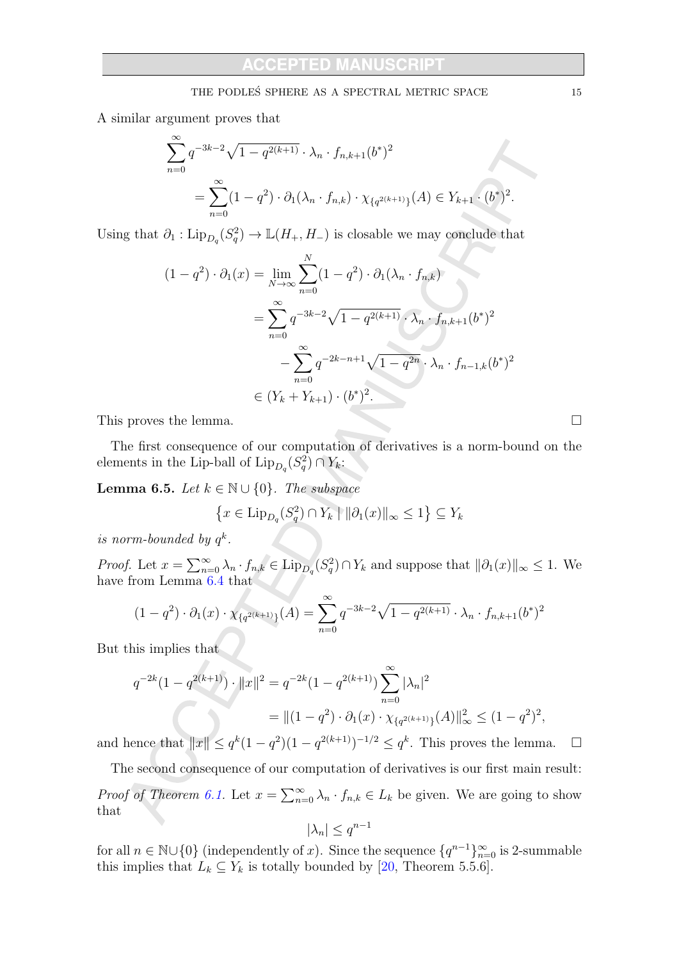A similar argument proves that

$$
\sum_{n=0}^{\infty} q^{-3k-2} \sqrt{1 - q^{2(k+1)}} \cdot \lambda_n \cdot f_{n,k+1}(b^*)^2
$$
  
= 
$$
\sum_{n=0}^{\infty} (1 - q^2) \cdot \partial_1(\lambda_n \cdot f_{n,k}) \cdot \chi_{\{q^{2(k+1)}\}}(A) \in Y_{k+1} \cdot (b^*)^2.
$$

Using that  $\partial_1: \text{Lip}_{D_q}(S_q^2) \to \mathbb{L}(H_+, H_-)$  is closable we may conclude that

$$
(1 - q^2) \cdot \partial_1(x) = \lim_{N \to \infty} \sum_{n=0}^N (1 - q^2) \cdot \partial_1(\lambda_n \cdot f_{n,k})
$$
  
= 
$$
\sum_{n=0}^\infty q^{-3k-2} \sqrt{1 - q^{2(k+1)}} \cdot \lambda_n \cdot f_{n,k+1}(b^*)^2
$$
  
- 
$$
\sum_{n=0}^\infty q^{-2k-n+1} \sqrt{1 - q^{2n}} \cdot \lambda_n \cdot f_{n-1,k}(b^*)^2
$$
  

$$
\in (Y_k + Y_{k+1}) \cdot (b^*)^2.
$$

This proves the lemma.  $\Box$ 

The first consequence of our computation of derivatives is a norm-bound on the elements in the Lip-ball of  $\text{Lip}_{D_q}(S_q^2) \cap Y_k$ :

Lemma 6.5. Let  $k \in \mathbb{N} \cup \{0\}$ . The subspace

$$
\left\{x \in \text{Lip}_{D_q}(S_q^2) \cap Y_k \mid \|\partial_1(x)\|_{\infty} \le 1\right\} \subseteq Y_k
$$

is norm-bounded by  $q^k$ .

*Proof.* Let  $x = \sum_{n=0}^{\infty} \lambda_n \cdot f_{n,k} \in \text{Lip}_{D_q}(S_q^2) \cap Y_k$  and suppose that  $\|\partial_1(x)\|_{\infty} \leq 1$ . We have from Lemma  $6.4$  that

$$
(1 - q^2) \cdot \partial_1(x) \cdot \chi_{\{q^{2(k+1)}\}}(A) = \sum_{n=0}^{\infty} q^{-3k-2} \sqrt{1 - q^{2(k+1)}} \cdot \lambda_n \cdot f_{n,k+1}(b^*)^2
$$

But this implies that

$$
q^{-2k}(1 - q^{2(k+1)}) \cdot ||x||^2 = q^{-2k}(1 - q^{2(k+1)}) \sum_{n=0}^{\infty} |\lambda_n|^2
$$
  
= 
$$
||(1 - q^2) \cdot \partial_1(x) \cdot \chi_{\{q^{2(k+1)}\}}(A)||_{\infty}^2 \le (1 - q^2)^2,
$$

and hence that  $||x|| \leq q^k(1-q^2)(1-q^{2(k+1)})^{-1/2} \leq q^k$ . This proves the lemma.  $\square$ 

The second consequence of our computation of derivatives is our first main result: *Proof of Theorem 6.1.* Let  $x = \sum_{n=0}^{\infty} \lambda_n \cdot f_{n,k} \in L_k$  be given. We are going to show that

$$
|\lambda_n| \le q^{n-1}
$$

for all  $n \in \mathbb{N} \cup \{0\}$  (independently of x). Since the sequence  $\{q^{n-1}\}_{n=0}^{\infty}$  is 2-summable this implies that  $L_k \subseteq Y_k$  is totally bounded by [20, Theorem 5.5.6].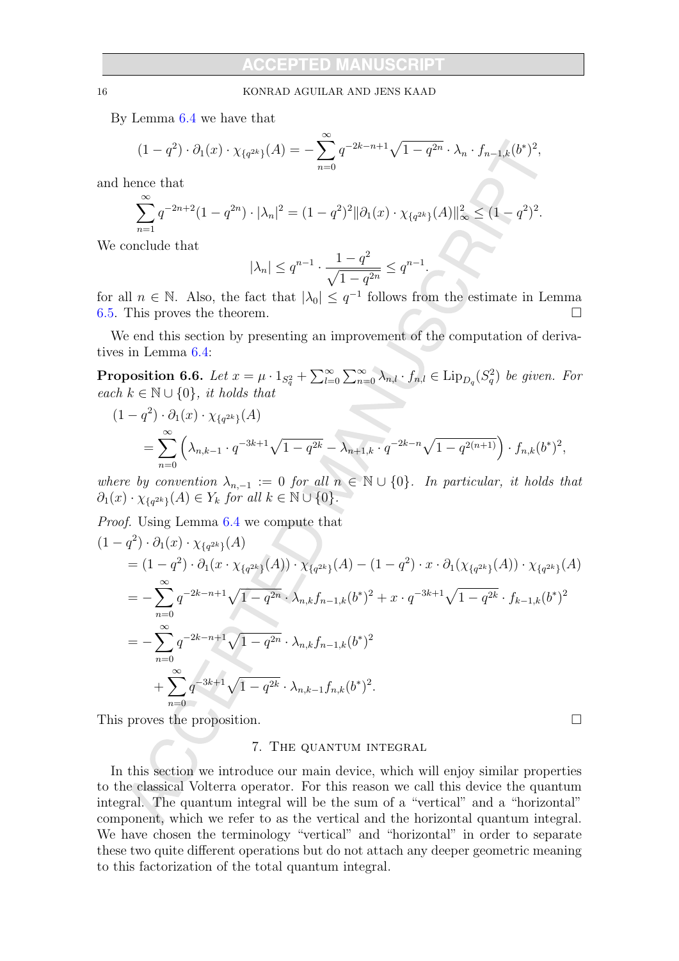By Lemma 6.4 we have that

$$
(1 - q^2) \cdot \partial_1(x) \cdot \chi_{\{q^{2k}\}}(A) = -\sum_{n=0}^{\infty} q^{-2k - n + 1} \sqrt{1 - q^{2n}} \cdot \lambda_n \cdot f_{n-1,k}(b^*)^2,
$$

and hence that

$$
\sum_{n=1}^{\infty} q^{-2n+2} (1 - q^{2n}) \cdot |\lambda_n|^2 = (1 - q^2)^2 ||\partial_1(x) \cdot \chi_{\{q^{2k}\}}(A)||_{\infty}^2 \le (1 - q^2)^2.
$$

We conclude that

$$
|\lambda_n| \le q^{n-1} \cdot \frac{1-q^2}{\sqrt{1-q^{2n}}} \le q^{n-1}.
$$

for all  $n \in \mathbb{N}$ . Also, the fact that  $|\lambda_0| \leq q^{-1}$  follows from the estimate in Lemma 6.5. This proves the theorem.

We end this section by presenting an improvement of the computation of derivatives in Lemma 6.4:

**Proposition 6.6.** Let  $x = \mu \cdot 1_{S_q^2} + \sum_{l=0}^{\infty} \sum_{n=0}^{\infty} \lambda_{n,l} \cdot f_{n,l} \in \text{Lip}_{D_q}(S_q^2)$  be given. For each  $k \in \mathbb{N} \cup \{0\}$ , it holds that

$$
(1 - q^2) \cdot \partial_1(x) \cdot \chi_{\{q^{2k}\}}(A)
$$
  
= 
$$
\sum_{n=0}^{\infty} \left( \lambda_{n,k-1} \cdot q^{-3k+1} \sqrt{1 - q^{2k}} - \lambda_{n+1,k} \cdot q^{-2k-n} \sqrt{1 - q^{2(n+1)}} \right) \cdot f_{n,k}(b^*)^2,
$$

where by convention  $\lambda_{n-1} := 0$  for all  $n \in \mathbb{N} \cup \{0\}$ . In particular, it holds that  $\partial_1(x) \cdot \chi_{\{q^{2k}\}}(A) \in Y_k$  for all  $k \in \mathbb{N} \cup \{0\}.$ 

Proof. Using Lemma 6.4 we compute that

$$
(1 - q^2) \cdot \partial_1(x) \cdot \chi_{\{q^{2k}\}}(A)
$$
  
=  $(1 - q^2) \cdot \partial_1(x \cdot \chi_{\{q^{2k}\}}(A)) \cdot \chi_{\{q^{2k}\}}(A) - (1 - q^2) \cdot x \cdot \partial_1(\chi_{\{q^{2k}\}}(A)) \cdot \chi_{\{q^{2k}\}}(A)$   
=  $-\sum_{n=0}^{\infty} q^{-2k-n+1} \sqrt{1 - q^{2n}} \cdot \lambda_{n,k} f_{n-1,k}(b^*)^2 + x \cdot q^{-3k+1} \sqrt{1 - q^{2k}} \cdot f_{k-1,k}(b^*)^2$   
=  $-\sum_{n=0}^{\infty} q^{-2k-n+1} \sqrt{1 - q^{2n}} \cdot \lambda_{n,k} f_{n-1,k}(b^*)^2$   
+  $\sum_{n=0}^{\infty} q^{-3k+1} \sqrt{1 - q^{2k}} \cdot \lambda_{n,k-1} f_{n,k}(b^*)^2$ .

This proves the proposition.

## 7. The quantum integral

In this section we introduce our main device, which will enjoy similar properties to the classical Volterra operator. For this reason we call this device the quantum integral. The quantum integral will be the sum of a "vertical" and a "horizontal" component, which we refer to as the vertical and the horizontal quantum integral. We have chosen the terminology "vertical" and "horizontal" in order to separate these two quite different operations but do not attach any deeper geometric meaning to this factorization of the total quantum integral.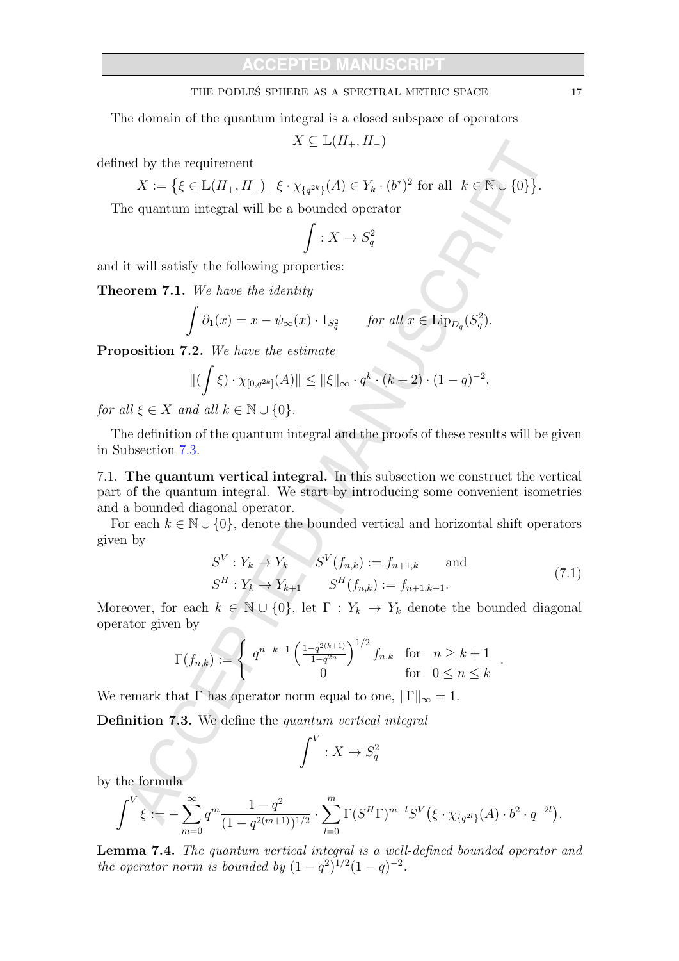The domain of the quantum integral is a closed subspace of operators

$$
X \subseteq \mathbb{L}(H_+, H_-)
$$

defined by the requirement

 $X := \{ \xi \in \mathbb{L}(H_+, H_-) \mid \xi \cdot \chi_{\{q^{2k}\}}(A) \in Y_k \cdot (b^*)^2 \text{ for all } k \in \mathbb{N} \cup \{0\} \}.$ 

The quantum integral will be a bounded operator

$$
\int: X \to S_q^2
$$

and it will satisfy the following properties:

**Theorem 7.1.** We have the identity

$$
\int \partial_1(x) = x - \psi_{\infty}(x) \cdot 1_{S_q^2} \qquad \text{for all } x \in \text{Lip}_{D_q}(S_q^2).
$$

Proposition 7.2. We have the estimate

$$
\| (\int \xi) \cdot \chi_{[0,q^{2k}]}(A) \| \le \| \xi \|_{\infty} \cdot q^k \cdot (k+2) \cdot (1-q)^{-2},
$$

for all  $\xi \in X$  and all  $k \in \mathbb{N} \cup \{0\}$ .

The definition of the quantum integral and the proofs of these results will be given in Subsection 7.3.

7.1. The quantum vertical integral. In this subsection we construct the vertical part of the quantum integral. We start by introducing some convenient isometries and a bounded diagonal operator.

For each  $k \in \mathbb{N} \cup \{0\}$ , denote the bounded vertical and horizontal shift operators given by

$$
S^{V}: Y_{k} \to Y_{k} \qquad S^{V}(f_{n,k}) := f_{n+1,k} \qquad \text{and}
$$
  

$$
S^{H}: Y_{k} \to Y_{k+1} \qquad S^{H}(f_{n,k}) := f_{n+1,k+1}.
$$
 (7.1)

Moreover, for each  $k \in \mathbb{N} \cup \{0\}$ , let  $\Gamma: Y_k \to Y_k$  denote the bounded diagonal operator given by

$$
\Gamma(f_{n,k}) := \begin{cases} q^{n-k-1} \left( \frac{1 - q^{2(k+1)}}{1 - q^{2n}} \right)^{1/2} f_{n,k} & \text{for } n \ge k+1 \\ 0 & \text{for } 0 \le n \le k \end{cases}.
$$

We remark that  $\Gamma$  has operator norm equal to one,  $\|\Gamma\|_{\infty} = 1$ .

Definition 7.3. We define the quantum vertical integral

$$
\int^V : X \to S_q^2
$$

by the formula

$$
\int^V \xi := -\sum_{m=0}^{\infty} q^m \frac{1-q^2}{(1-q^{2(m+1)})^{1/2}} \cdot \sum_{l=0}^m \Gamma(S^H \Gamma)^{m-l} S^V(\xi \cdot \chi_{\{q^{2l}\}}(A) \cdot b^2 \cdot q^{-2l}).
$$

Lemma 7.4. The quantum vertical integral is a well-defined bounded operator and the operator norm is bounded by  $(1 - q^2)^{1/2} (1 - q)^{-2}$ .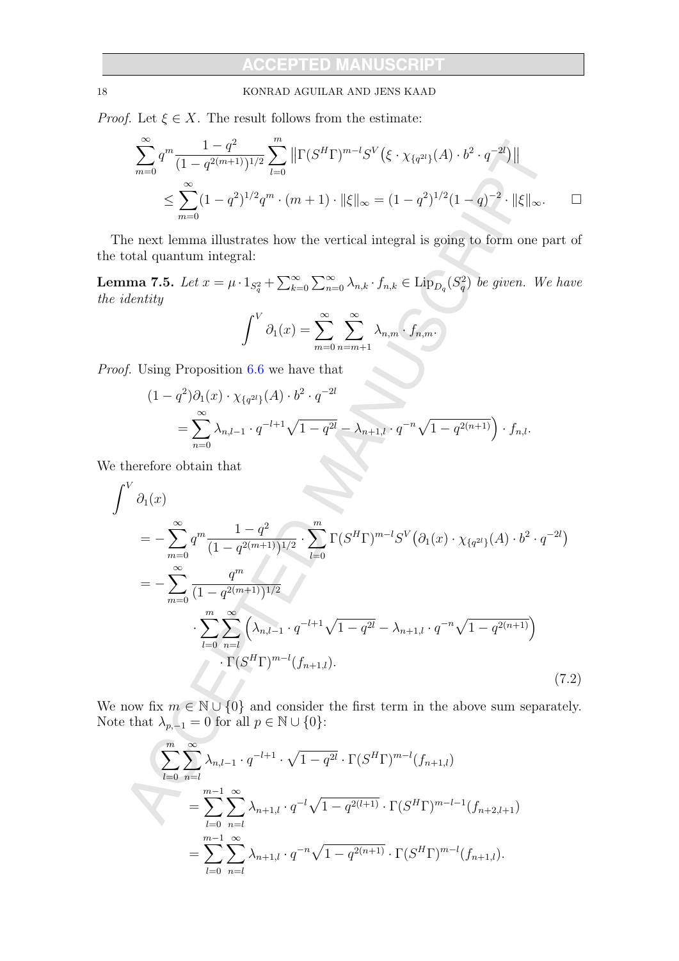## **ACCEPTED MANUSCRIPT**

## 18 KONRAD AGUILAR AND JENS KAAD

*Proof.* Let  $\xi \in X$ . The result follows from the estimate:

$$
\sum_{m=0}^{\infty} q^m \frac{1 - q^2}{(1 - q^{2(m+1)})^{1/2}} \sum_{l=0}^m \left\| \Gamma(S^H \Gamma)^{m-l} S^V(\xi \cdot \chi_{\{q^{2l}\}}(A) \cdot b^2 \cdot q^{-2l}) \right\|
$$
  

$$
\leq \sum_{m=0}^{\infty} (1 - q^2)^{1/2} q^m \cdot (m+1) \cdot \|\xi\|_{\infty} = (1 - q^2)^{1/2} (1 - q)^{-2} \cdot \|\xi\|_{\infty}.
$$

The next lemma illustrates how the vertical integral is going to form one part of the total quantum integral:

**Lemma 7.5.** Let  $x = \mu \cdot 1_{S_q^2} + \sum_{k=0}^{\infty} \sum_{n=0}^{\infty} \lambda_{n,k} \cdot f_{n,k} \in \text{Lip}_{D_q}(S_q^2)$  be given. We have the identity

$$
\int^V \partial_1(x) = \sum_{m=0}^{\infty} \sum_{n=m+1}^{\infty} \lambda_{n,m} \cdot f_{n,m}.
$$

Proof. Using Proposition 6.6 we have that

$$
(1 - q^2)\partial_1(x) \cdot \chi_{\{q^{2l}\}}(A) \cdot b^2 \cdot q^{-2l}
$$
  
= 
$$
\sum_{n=0}^{\infty} \lambda_{n,l-1} \cdot q^{-l+1} \sqrt{1 - q^{2l}} - \lambda_{n+1,l} \cdot q^{-n} \sqrt{1 - q^{2(n+1)}} \cdot f_{n,l}.
$$

We therefore obtain that

$$
\int^{V} \partial_{1}(x) = -\sum_{m=0}^{\infty} q^{m} \frac{1 - q^{2}}{(1 - q^{2(m+1)})^{1/2}} \cdot \sum_{l=0}^{m} \Gamma(S^{H} \Gamma)^{m-l} S^{V} (\partial_{1}(x) \cdot \chi_{\{q^{2l}\}}(A) \cdot b^{2} \cdot q^{-2l})
$$
  
= 
$$
-\sum_{m=0}^{\infty} \frac{q^{m}}{(1 - q^{2(m+1)})^{1/2}}
$$

$$
\cdot \sum_{l=0}^{m} \sum_{n=l}^{\infty} \left( \lambda_{n,l-1} \cdot q^{-l+1} \sqrt{1 - q^{2l}} - \lambda_{n+1,l} \cdot q^{-n} \sqrt{1 - q^{2(n+1)}} \right)
$$

$$
\cdot \Gamma(S^{H} \Gamma)^{m-l}(f_{n+1,l}). \tag{7.2}
$$

We now fix  $m \in \mathbb{N} \cup \{0\}$  and consider the first term in the above sum separately. Note that  $\lambda_{p,-1} = 0$  for all  $p \in \mathbb{N} \cup \{0\}$ :

$$
\sum_{l=0}^{m} \sum_{n=l}^{\infty} \lambda_{n,l-1} \cdot q^{-l+1} \cdot \sqrt{1-q^{2l}} \cdot \Gamma(S^{H} \Gamma)^{m-l}(f_{n+1,l})
$$
  
= 
$$
\sum_{l=0}^{m-1} \sum_{n=l}^{\infty} \lambda_{n+1,l} \cdot q^{-l} \sqrt{1-q^{2(l+1)}} \cdot \Gamma(S^{H} \Gamma)^{m-l-1}(f_{n+2,l+1})
$$
  
= 
$$
\sum_{l=0}^{m-1} \sum_{n=l}^{\infty} \lambda_{n+1,l} \cdot q^{-n} \sqrt{1-q^{2(n+1)}} \cdot \Gamma(S^{H} \Gamma)^{m-l}(f_{n+1,l}).
$$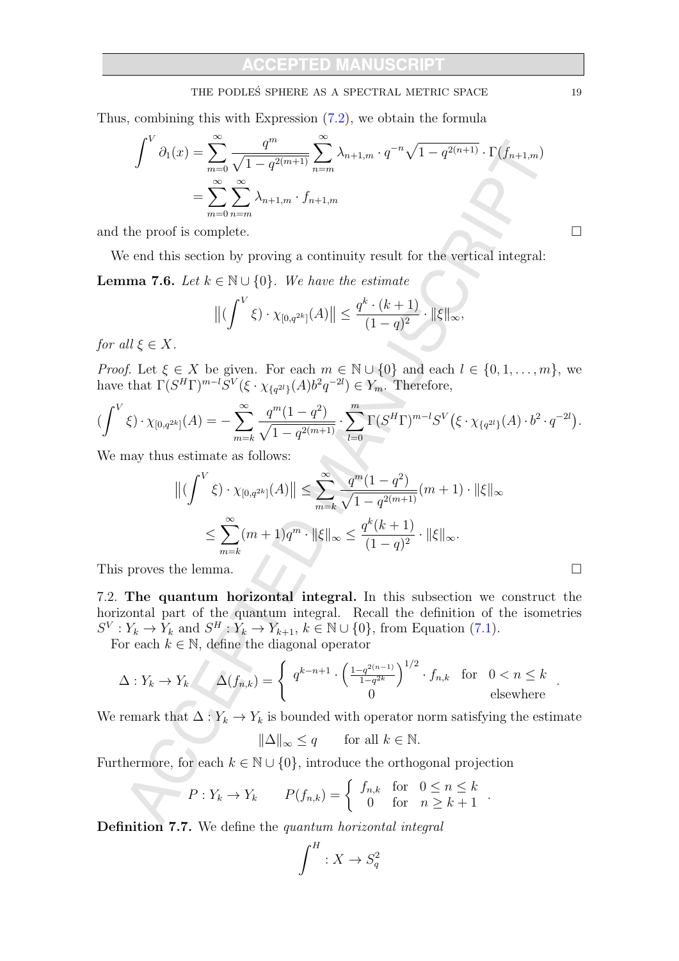Thus, combining this with Expression (7.2), we obtain the formula

$$
\int^{V} \partial_1(x) = \sum_{m=0}^{\infty} \frac{q^m}{\sqrt{1 - q^{2(m+1)}}} \sum_{n=m}^{\infty} \lambda_{n+1,m} \cdot q^{-n} \sqrt{1 - q^{2(n+1)}} \cdot \Gamma(f_{n+1,m})
$$
  
= 
$$
\sum_{m=0}^{\infty} \sum_{n=m}^{\infty} \lambda_{n+1,m} \cdot f_{n+1,m}
$$

and the proof is complete.  $\Box$ 

We end this section by proving a continuity result for the vertical integral:

**Lemma 7.6.** Let  $k \in \mathbb{N} \cup \{0\}$ . We have the estimate

$$
\left\| \left( \int^V \xi \right) \cdot \chi_{[0,q^{2k}]}(A) \right\| \le \frac{q^k \cdot (k+1)}{(1-q)^2} \cdot \|\xi\|_{\infty},
$$

for all  $\xi \in X$ .

*Proof.* Let  $\xi \in X$  be given. For each  $m \in \mathbb{N} \cup \{0\}$  and each  $l \in \{0, 1, \ldots, m\}$ , we have that  $\Gamma(S^H \Gamma)^{m-l} S^V(\xi \cdot \chi_{\{q^{2l}\}}(A) b^2 q^{-2l}) \in Y_m$ . Therefore,

$$
(\int^{V} \xi) \cdot \chi_{[0,q^{2k}]}(A) = -\sum_{m=k}^{\infty} \frac{q^{m} (1-q^{2})}{\sqrt{1-q^{2(m+1)}}} \cdot \sum_{l=0}^{m} \Gamma(S^{H} \Gamma)^{m-l} S^{V}(\xi \cdot \chi_{\{q^{2l}\}}(A) \cdot b^{2} \cdot q^{-2l}).
$$

We may thus estimate as follows:

$$
\left\| (\int^{V} \xi) \cdot \chi_{[0,q^{2k}]}(A) \right\| \leq \sum_{m=k}^{\infty} \frac{q^{m} (1 - q^2)}{\sqrt{1 - q^{2(m+1)}}} (m+1) \cdot \|\xi\|_{\infty}
$$
  

$$
\leq \sum_{m=k}^{\infty} (m+1) q^m \cdot \|\xi\|_{\infty} \leq \frac{q^{k} (k+1)}{(1 - q)^2} \cdot \|\xi\|_{\infty}.
$$

This proves the lemma.

7.2. The quantum horizontal integral. In this subsection we construct the horizontal part of the quantum integral. Recall the definition of the isometries  $S^V: Y_k \to Y_k$  and  $S^H: Y_k \to Y_{k+1}, k \in \mathbb{N} \cup \{0\}$ , from Equation (7.1).

For each  $k \in \mathbb{N}$ , define the diagonal operator

$$
\Delta: Y_k \to Y_k \qquad \Delta(f_{n,k}) = \begin{cases} q^{k-n+1} \cdot \left(\frac{1-q^{2(n-1)}}{1-q^{2k}}\right)^{1/2} \cdot f_{n,k} & \text{for} \quad 0 < n \le k \\ 0 & \text{elsewhere} \end{cases}.
$$

We remark that  $\Delta: Y_k \to Y_k$  is bounded with operator norm satisfying the estimate

$$
\|\Delta\|_{\infty} \le q \qquad \text{for all } k \in \mathbb{N}.
$$

Furthermore, for each  $k \in \mathbb{N} \cup \{0\}$ , introduce the orthogonal projection

$$
P: Y_k \to Y_k \qquad P(f_{n,k}) = \begin{cases} f_{n,k} & \text{for} \quad 0 \le n \le k \\ 0 & \text{for} \quad n \ge k+1 \end{cases}.
$$

**Definition 7.7.** We define the *quantum horizontal integral* 

$$
\int^H : X \to S_q^2
$$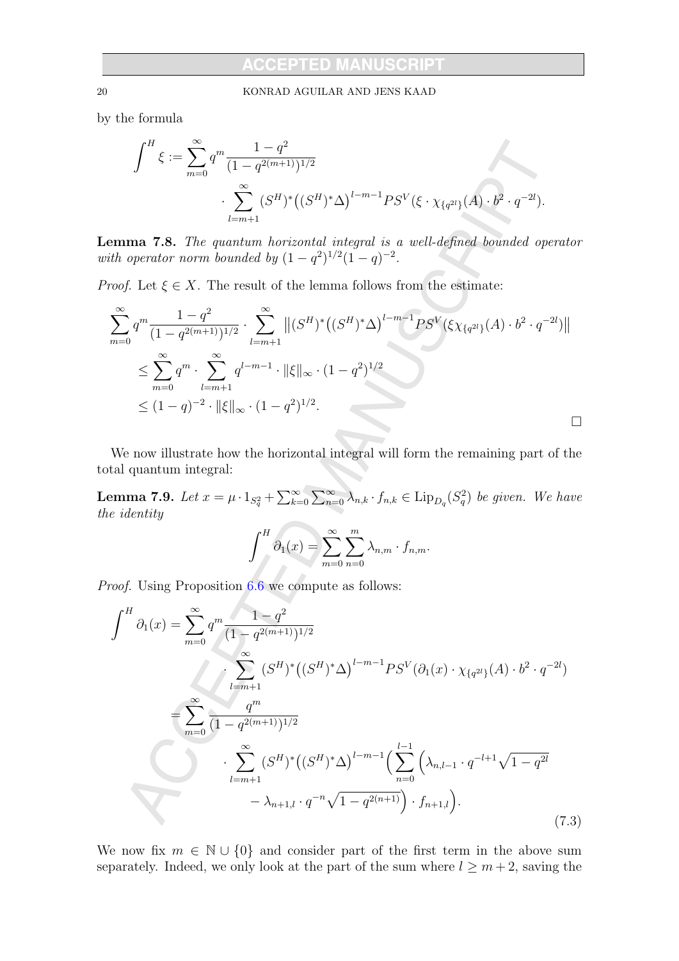by the formula

$$
\int^{H} \xi := \sum_{m=0}^{\infty} q^{m} \frac{1 - q^{2}}{(1 - q^{2(m+1)})^{1/2}} \cdot \sum_{l=m+1}^{\infty} (S^{H})^{*} ((S^{H})^{*} \Delta)^{l-m-1} PS^{V} (\xi \cdot \chi_{\{q^{2l}\}}(A) \cdot b^{2} \cdot q^{-2l}).
$$

Lemma 7.8. The quantum horizontal integral is a well-defined bounded operator with operator norm bounded by  $(1 - q^2)^{1/2} (1 - q)^{-2}$ .

*Proof.* Let  $\xi \in X$ . The result of the lemma follows from the estimate:

$$
\sum_{m=0}^{\infty} q^m \frac{1 - q^2}{(1 - q^{2(m+1)})^{1/2}} \cdot \sum_{l=m+1}^{\infty} \|(S^H)^* \big((S^H)^* \Delta\big)^{l-m-1} PS^V \big(\xi \chi_{\{q^{2l}\}}(A) \cdot b^2 \cdot q^{-2l}\big) \|
$$
  

$$
\leq \sum_{m=0}^{\infty} q^m \cdot \sum_{l=m+1}^{\infty} q^{l-m-1} \cdot \|\xi\|_{\infty} \cdot (1 - q^2)^{1/2}
$$
  

$$
\leq (1 - q)^{-2} \cdot \|\xi\|_{\infty} \cdot (1 - q^2)^{1/2}.
$$

We now illustrate how the horizontal integral will form the remaining part of the total quantum integral:

**Lemma 7.9.** Let  $x = \mu \cdot 1_{S_q^2} + \sum_{k=0}^{\infty} \sum_{n=0}^{\infty} \lambda_{n,k} \cdot f_{n,k} \in \text{Lip}_{D_q}(S_q^2)$  be given. We have the identity

$$
\int^H \partial_1(x) = \sum_{m=0}^{\infty} \sum_{n=0}^m \lambda_{n,m} \cdot f_{n,m}.
$$

Proof. Using Proposition 6.6 we compute as follows:

$$
\int^{H} \partial_{1}(x) = \sum_{m=0}^{\infty} q^{m} \frac{1 - q^{2}}{(1 - q^{2(m+1)})^{1/2}}
$$
  
\n
$$
\cdot \sum_{l=m+1}^{\infty} (S^{H})^{*} ((S^{H})^{*} \Delta)^{l-m-1} PS^{V}(\partial_{1}(x) \cdot \chi_{\{q^{2l}\}}(A) \cdot b^{2} \cdot q^{-2l})
$$
  
\n
$$
= \sum_{m=0}^{\infty} \frac{q^{m}}{(1 - q^{2(m+1)})^{1/2}}
$$
  
\n
$$
\cdot \sum_{l=m+1}^{\infty} (S^{H})^{*} ((S^{H})^{*} \Delta)^{l-m-1} \Big( \sum_{n=0}^{l-1} \left( \lambda_{n,l-1} \cdot q^{-l+1} \sqrt{1 - q^{2l}} - \lambda_{n+1,l} \cdot q^{-n} \sqrt{1 - q^{2(n+1)}} \right) \cdot f_{n+1,l} \Big).
$$
  
\n(7.3)

We now fix  $m \in \mathbb{N} \cup \{0\}$  and consider part of the first term in the above sum separately. Indeed, we only look at the part of the sum where  $l \geq m+2$ , saving the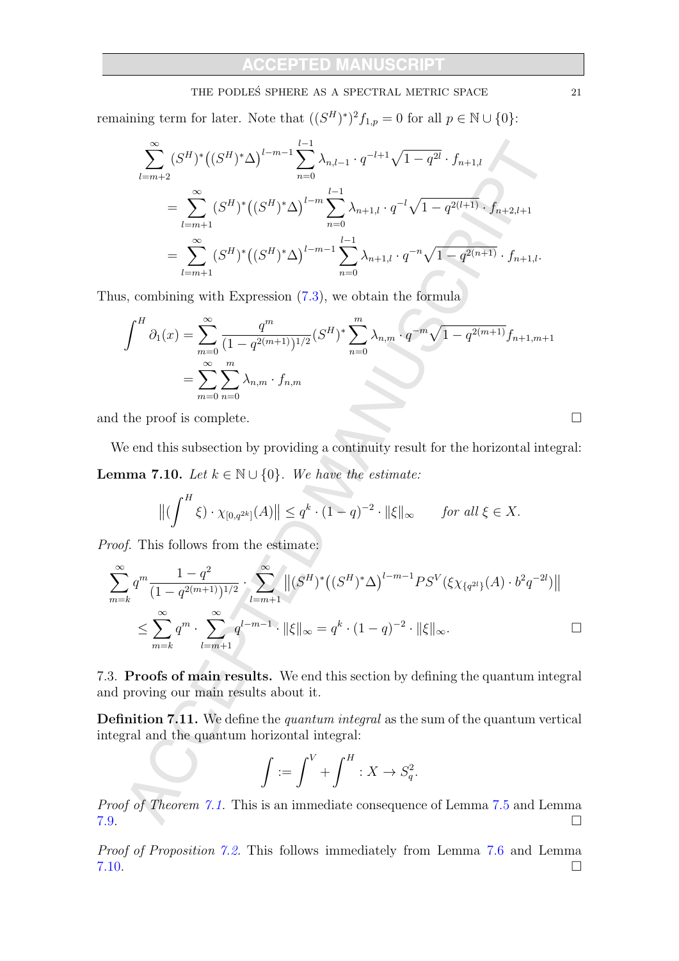remaining term for later. Note that  $((S^H)^*)^2 f_{1,p} = 0$  for all  $p \in \mathbb{N} \cup \{0\}$ :

$$
\sum_{l=m+2}^{\infty} (S^H)^* ((S^H)^* \Delta)^{l-m-1} \sum_{n=0}^{l-1} \lambda_{n,l-1} \cdot q^{-l+1} \sqrt{1-q^{2l}} \cdot f_{n+1,l}
$$
  
= 
$$
\sum_{l=m+1}^{\infty} (S^H)^* ((S^H)^* \Delta)^{l-m} \sum_{n=0}^{l-1} \lambda_{n+1,l} \cdot q^{-l} \sqrt{1-q^{2(l+1)}} \cdot f_{n+2,l+1}
$$
  
= 
$$
\sum_{l=m+1}^{\infty} (S^H)^* ((S^H)^* \Delta)^{l-m-1} \sum_{n=0}^{l-1} \lambda_{n+1,l} \cdot q^{-n} \sqrt{1-q^{2(n+1)}} \cdot f_{n+1,l}.
$$

Thus, combining with Expression (7.3), we obtain the formula

$$
\int^{H} \partial_{1}(x) = \sum_{m=0}^{\infty} \frac{q^{m}}{(1 - q^{2(m+1)})^{1/2}} (S^{H})^{*} \sum_{n=0}^{m} \lambda_{n,m} \cdot q^{-m} \sqrt{1 - q^{2(m+1)}} f_{n+1,m+1}
$$

$$
= \sum_{m=0}^{\infty} \sum_{n=0}^{m} \lambda_{n,m} \cdot f_{n,m}
$$

and the proof is complete.  $\Box$ 

We end this subsection by providing a continuity result for the horizontal integral: **Lemma 7.10.** Let  $k \in \mathbb{N} \cup \{0\}$ . We have the estimate:

$$
\left\| \left( \int^H \xi \right) \cdot \chi_{[0,q^{2k}]}(A) \right\| \le q^k \cdot (1-q)^{-2} \cdot \|\xi\|_{\infty} \quad \text{for all } \xi \in X.
$$

Proof. This follows from the estimate:

$$
\sum_{m=k}^{\infty} q^m \frac{1 - q^2}{(1 - q^{2(m+1)})^{1/2}} \cdot \sum_{l=m+1}^{\infty} \left\| (S^H)^* \left( (S^H)^* \Delta \right)^{l-m-1} P S^V \left( \xi \chi_{\{q^{2l}\}}(A) \cdot b^2 q^{-2l} \right) \right\|
$$
  

$$
\leq \sum_{m=k}^{\infty} q^m \cdot \sum_{l=m+1}^{\infty} q^{l-m-1} \cdot \|\xi\|_{\infty} = q^k \cdot (1 - q)^{-2} \cdot \|\xi\|_{\infty}.
$$

7.3. Proofs of main results. We end this section by defining the quantum integral and proving our main results about it.

Definition 7.11. We define the *quantum integral* as the sum of the quantum vertical integral and the quantum horizontal integral:

$$
\int := \int^V + \int^H : X \to S_q^2.
$$

Proof of Theorem 7.1. This is an immediate consequence of Lemma 7.5 and Lemma  $7.9.$ 

Proof of Proposition 7.2. This follows immediately from Lemma 7.6 and Lemma 7.10.  $\Box$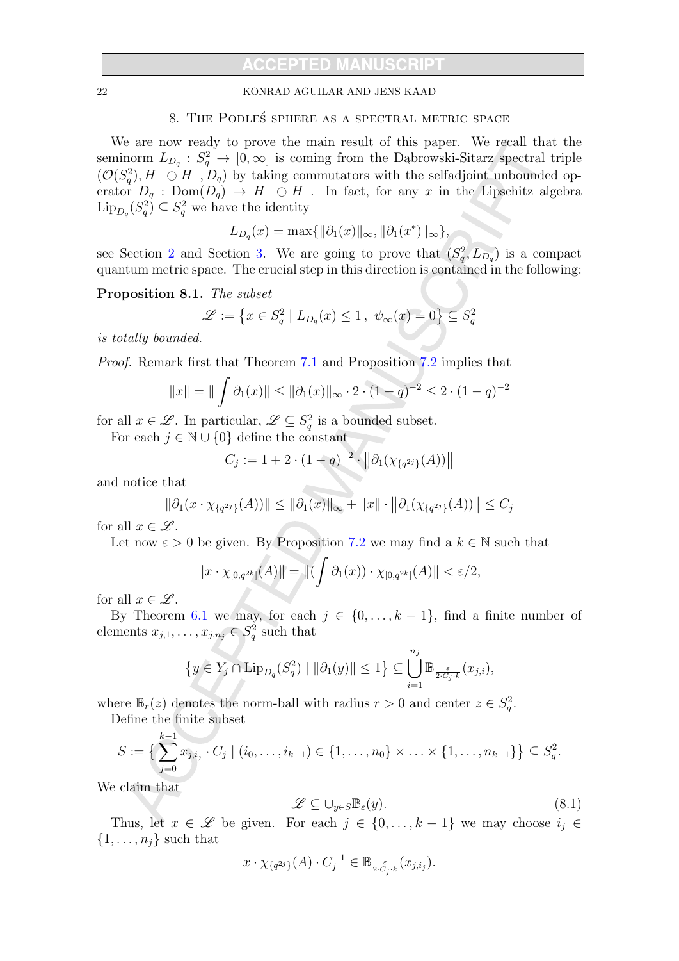## 'TED MANUS

#### 22 KONRAD AGUILAR AND JENS KAAD

### 8. The Podle´s sphere as a spectral metric space

We are now ready to prove the main result of this paper. We recall that the seminorm  $L_{D_q}: S_q^2 \to [0, \infty]$  is coming from the Dabrowski-Sitarz spectral triple  $(\mathcal{O}(S_q^2), H_+ \oplus H_-, D_q)$  by taking commutators with the selfadjoint unbounded operator  $D_q$ : Dom $(D_q) \rightarrow H_+ \oplus H_-$ . In fact, for any x in the Lipschitz algebra  $\text{Lip}_{D_q}(S_q^2) \subseteq S_q^2$  we have the identity

$$
L_{D_q}(x) = \max{\{\|\partial_1(x)\|_{\infty}, \|\partial_1(x^*)\|_{\infty}\}},
$$

see Section 2 and Section 3. We are going to prove that  $(S_q^2, L_{D_q})$  is a compact quantum metric space. The crucial step in this direction is contained in the following:

Proposition 8.1. The subset

$$
\mathcal{L} := \left\{ x \in S_q^2 \mid L_{D_q}(x) \le 1, \ \psi_\infty(x) = 0 \right\} \subseteq S_q^2
$$

is totally bounded.

Proof. Remark first that Theorem 7.1 and Proposition 7.2 implies that

$$
||x|| = || \int \partial_1(x)|| \le ||\partial_1(x)||_{\infty} \cdot 2 \cdot (1-q)^{-2} \le 2 \cdot (1-q)^{-2}
$$

for all  $x \in \mathscr{L}$ . In particular,  $\mathscr{L} \subseteq S_q^2$  is a bounded subset.

For each  $j \in \mathbb{N} \cup \{0\}$  define the constant

$$
C_j := 1 + 2 \cdot (1 - q)^{-2} \cdot ||\partial_1(\chi_{\{q^{2j}\}}(A))||
$$

and notice that

$$
\|\partial_1(x \cdot \chi_{\{q^{2j}\}}(A))\| \le \|\partial_1(x)\|_{\infty} + \|x\| \cdot \|\partial_1(\chi_{\{q^{2j}\}}(A))\| \le C_j
$$

for all  $x \in \mathscr{L}$ .

Let now  $\varepsilon > 0$  be given. By Proposition 7.2 we may find a  $k \in \mathbb{N}$  such that

$$
||x \cdot \chi_{[0,q^{2k}]}(A)|| = ||(\int \partial_1(x)) \cdot \chi_{[0,q^{2k}]}(A)|| < \varepsilon/2,
$$

for all  $x \in \mathscr{L}$ .

By Theorem 6.1 we may, for each  $j \in \{0, \ldots, k-1\}$ , find a finite number of elements  $x_{j,1}, \ldots, x_{j,n_j} \in S_q^2$  such that

$$
\left\{y \in Y_j \cap \text{Lip}_{D_q}(S_q^2) \mid \|\partial_1(y)\| \le 1\right\} \subseteq \bigcup_{i=1}^{n_j} \mathbb{B}_{\frac{\varepsilon}{2 \cdot C_j \cdot k}}(x_{j,i}),
$$

where  $\mathbb{B}_r(z)$  denotes the norm-ball with radius  $r > 0$  and center  $z \in S_q^2$ .

Define the finite subset

k−11

$$
S := \Big\{ \sum_{j=0}^{k-1} x_{j,i_j} \cdot C_j \mid (i_0, \ldots, i_{k-1}) \in \{1, \ldots, n_0\} \times \ldots \times \{1, \ldots, n_{k-1}\} \Big\} \subseteq S_q^2.
$$

We claim that

$$
\mathscr{L} \subseteq \cup_{y \in S} \mathbb{B}_{\varepsilon}(y). \tag{8.1}
$$

Thus, let  $x \in \mathscr{L}$  be given. For each  $j \in \{0, \ldots, k-1\}$  we may choose  $i_j \in$  $\{1, \ldots, n_j\}$  such that

$$
x \cdot \chi_{\{q^{2j}\}}(A) \cdot C_j^{-1} \in \mathbb{B}_{\frac{\varepsilon}{2 \cdot C_j \cdot k}}(x_{j,i_j}).
$$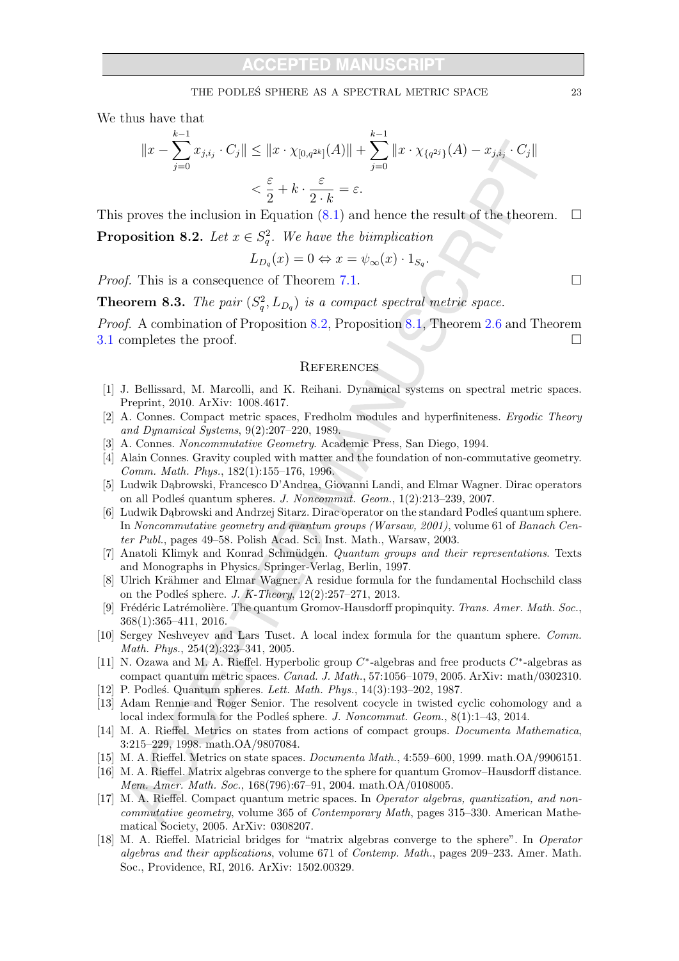We thus have that

$$
||x - \sum_{j=0}^{k-1} x_{j,i_j} \cdot C_j|| \le ||x \cdot \chi_{[0,q^{2k}]}(A)|| + \sum_{j=0}^{k-1} ||x \cdot \chi_{\{q^{2j}\}}(A) - x_{j,i_j} \cdot C_j||
$$
  

$$
< \frac{\varepsilon}{2} + k \cdot \frac{\varepsilon}{2 \cdot k} = \varepsilon.
$$

This proves the inclusion in Equation  $(8.1)$  and hence the result of the theorem.  $\Box$ 

**Proposition 8.2.** Let  $x \in S_q^2$ . We have the biimplication

$$
L_{D_q}(x) = 0 \Leftrightarrow x = \psi_\infty(x) \cdot 1_{S_q}.
$$

*Proof.* This is a consequence of Theorem 7.1. □

**Theorem 8.3.** The pair  $(S_q^2, L_{D_q})$  is a compact spectral metric space.

Proof. A combination of Proposition 8.2, Proposition 8.1, Theorem 2.6 and Theorem 3.1 completes the proof.  $\Box$ 

#### **REFERENCES**

- [1] J. Bellissard, M. Marcolli, and K. Reihani. Dynamical systems on spectral metric spaces. Preprint, 2010. ArXiv: 1008.4617.
- [2] A. Connes. Compact metric spaces, Fredholm modules and hyperfiniteness. Ergodic Theory and Dynamical Systems, 9(2):207–220, 1989.
- [3] A. Connes. Noncommutative Geometry. Academic Press, San Diego, 1994.
- [4] Alain Connes. Gravity coupled with matter and the foundation of non-commutative geometry. Comm. Math. Phys., 182(1):155–176, 1996.
- [5] Ludwik Dąbrowski, Francesco D'Andrea, Giovanni Landi, and Elmar Wagner. Dirac operators on all Podle´s quantum spheres. J. Noncommut. Geom., 1(2):213–239, 2007.
- [6] Ludwik Dąbrowski and Andrzej Sitarz. Dirac operator on the standard Podleś quantum sphere. In Noncommutative geometry and quantum groups (Warsaw, 2001), volume 61 of Banach Center Publ., pages 49–58. Polish Acad. Sci. Inst. Math., Warsaw, 2003.
- [7] Anatoli Klimyk and Konrad Schmüdgen. Quantum groups and their representations. Texts and Monographs in Physics. Springer-Verlag, Berlin, 1997.
- [8] Ulrich Krähmer and Elmar Wagner. A residue formula for the fundamental Hochschild class on the Podles sphere. *J. K-Theory*,  $12(2):257-271$ ,  $2013$ .
- [9] Frédéric Latrémolière. The quantum Gromov-Hausdorff propinquity. Trans. Amer. Math. Soc., 368(1):365–411, 2016.
- [10] Sergey Neshveyev and Lars Tuset. A local index formula for the quantum sphere. Comm. Math. Phys., 254(2):323–341, 2005.
- [11] N. Ozawa and M. A. Rieffel. Hyperbolic group  $C^*$ -algebras and free products  $C^*$ -algebras as compact quantum metric spaces. Canad. J. Math., 57:1056–1079, 2005. ArXiv: math/0302310.
- [12] P. Podleś. Quantum spheres. Lett. Math. Phys., 14(3):193-202, 1987.
- [13] Adam Rennie and Roger Senior. The resolvent cocycle in twisted cyclic cohomology and a local index formula for the Podles sphere. J. Noncommut. Geom., 8(1):1–43, 2014.
- [14] M. A. Rieffel. Metrics on states from actions of compact groups. Documenta Mathematica, 3:215–229, 1998. math.OA/9807084.
- [15] M. A. Rieffel. Metrics on state spaces. Documenta Math., 4:559–600, 1999. math.OA/9906151.
- [16] M. A. Rieffel. Matrix algebras converge to the sphere for quantum Gromov–Hausdorff distance. Mem. Amer. Math. Soc., 168(796):67–91, 2004. math.OA/0108005.
- [17] M. A. Rieffel. Compact quantum metric spaces. In Operator algebras, quantization, and noncommutative geometry, volume 365 of Contemporary Math, pages 315–330. American Mathematical Society, 2005. ArXiv: 0308207.
- [18] M. A. Rieffel. Matricial bridges for "matrix algebras converge to the sphere". In Operator algebras and their applications, volume 671 of Contemp. Math., pages 209–233. Amer. Math. Soc., Providence, RI, 2016. ArXiv: 1502.00329.